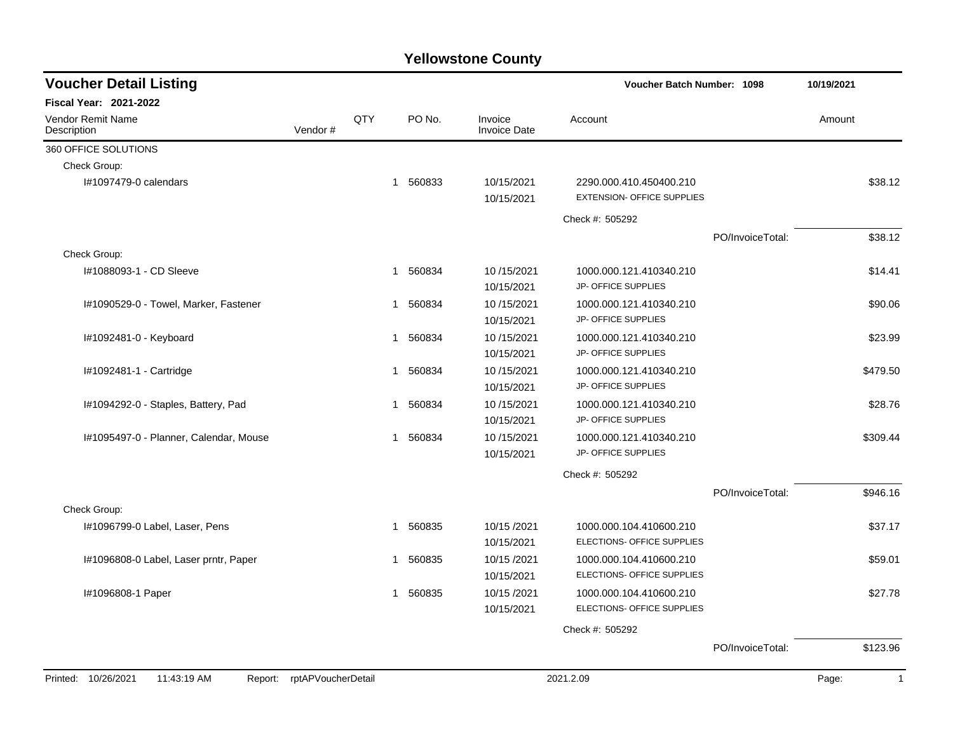| <b>Voucher Detail Listing</b>           |                            |     |                        |                                | <b>Voucher Batch Number: 1098</b>                            |                  | 10/19/2021            |  |
|-----------------------------------------|----------------------------|-----|------------------------|--------------------------------|--------------------------------------------------------------|------------------|-----------------------|--|
| <b>Fiscal Year: 2021-2022</b>           |                            |     |                        |                                |                                                              |                  |                       |  |
| <b>Vendor Remit Name</b><br>Description | Vendor#                    | QTY | PO No.                 | Invoice<br><b>Invoice Date</b> | Account                                                      |                  | Amount                |  |
| 360 OFFICE SOLUTIONS                    |                            |     |                        |                                |                                                              |                  |                       |  |
| Check Group:                            |                            |     |                        |                                |                                                              |                  |                       |  |
| I#1097479-0 calendars                   |                            |     | 560833<br>$\mathbf{1}$ | 10/15/2021<br>10/15/2021       | 2290.000.410.450400.210<br><b>EXTENSION- OFFICE SUPPLIES</b> |                  | \$38.12               |  |
|                                         |                            |     |                        |                                | Check #: 505292                                              |                  |                       |  |
|                                         |                            |     |                        |                                |                                                              | PO/InvoiceTotal: | \$38.12               |  |
| Check Group:                            |                            |     |                        |                                |                                                              |                  |                       |  |
| I#1088093-1 - CD Sleeve                 |                            |     | 560834<br>1            | 10/15/2021<br>10/15/2021       | 1000.000.121.410340.210<br>JP- OFFICE SUPPLIES               |                  | \$14.41               |  |
| I#1090529-0 - Towel, Marker, Fastener   |                            |     | 560834<br>1            | 10/15/2021<br>10/15/2021       | 1000.000.121.410340.210<br>JP- OFFICE SUPPLIES               |                  | \$90.06               |  |
| I#1092481-0 - Keyboard                  |                            |     | 560834<br>1            | 10/15/2021<br>10/15/2021       | 1000.000.121.410340.210<br>JP- OFFICE SUPPLIES               |                  | \$23.99               |  |
| I#1092481-1 - Cartridge                 |                            |     | 560834<br>1            | 10/15/2021<br>10/15/2021       | 1000.000.121.410340.210<br>JP- OFFICE SUPPLIES               |                  | \$479.50              |  |
| I#1094292-0 - Staples, Battery, Pad     |                            |     | 560834<br>1            | 10/15/2021<br>10/15/2021       | 1000.000.121.410340.210<br>JP- OFFICE SUPPLIES               |                  | \$28.76               |  |
| I#1095497-0 - Planner, Calendar, Mouse  |                            |     | 560834<br>$\mathbf{1}$ | 10/15/2021<br>10/15/2021       | 1000.000.121.410340.210<br><b>JP- OFFICE SUPPLIES</b>        |                  | \$309.44              |  |
|                                         |                            |     |                        |                                | Check #: 505292                                              |                  |                       |  |
|                                         |                            |     |                        |                                |                                                              | PO/InvoiceTotal: | \$946.16              |  |
| Check Group:                            |                            |     |                        |                                |                                                              |                  |                       |  |
| I#1096799-0 Label, Laser, Pens          |                            |     | 560835<br>1            | 10/15/2021<br>10/15/2021       | 1000.000.104.410600.210<br>ELECTIONS- OFFICE SUPPLIES        |                  | \$37.17               |  |
| I#1096808-0 Label, Laser prntr, Paper   |                            |     | 560835<br>1            | 10/15 /2021<br>10/15/2021      | 1000.000.104.410600.210<br>ELECTIONS- OFFICE SUPPLIES        |                  | \$59.01               |  |
| I#1096808-1 Paper                       |                            |     | 560835<br>$\mathbf{1}$ | 10/15/2021<br>10/15/2021       | 1000.000.104.410600.210<br>ELECTIONS- OFFICE SUPPLIES        |                  | \$27.78               |  |
|                                         |                            |     |                        |                                | Check #: 505292                                              |                  |                       |  |
|                                         |                            |     |                        |                                |                                                              | PO/InvoiceTotal: | \$123.96              |  |
| Printed: 10/26/2021<br>11:43:19 AM      | Report: rptAPVoucherDetail |     |                        |                                | 2021.2.09                                                    |                  | Page:<br>$\mathbf{1}$ |  |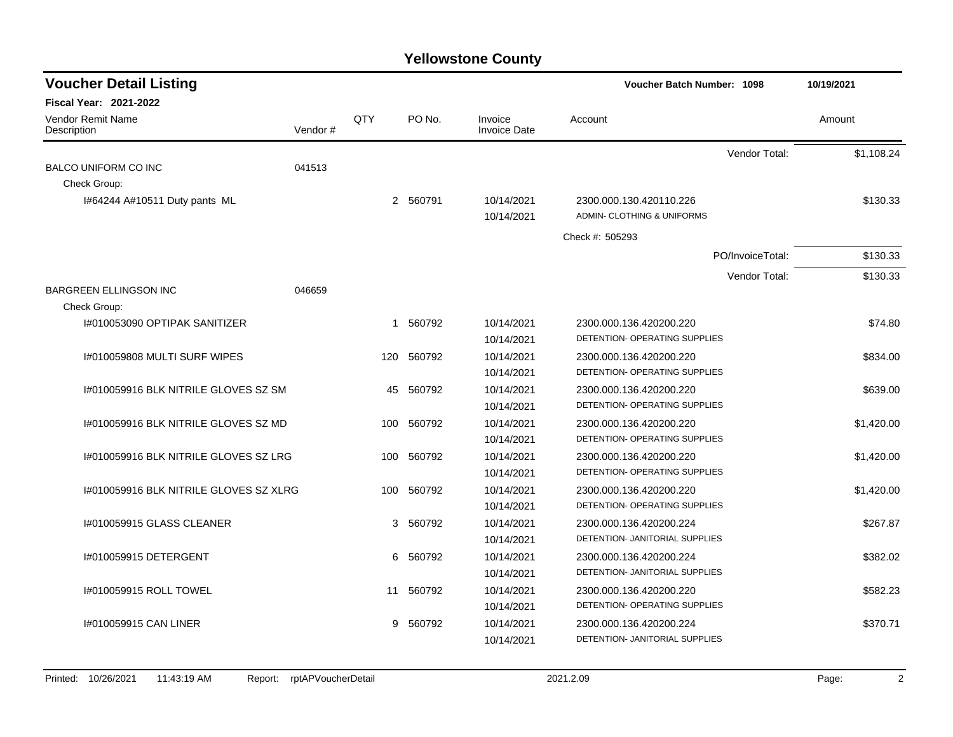| <b>Voucher Detail Listing</b>                 |         |             |          |                                | <b>Voucher Batch Number: 1098</b>    | 10/19/2021 |
|-----------------------------------------------|---------|-------------|----------|--------------------------------|--------------------------------------|------------|
| <b>Fiscal Year: 2021-2022</b>                 |         |             |          |                                |                                      |            |
| <b>Vendor Remit Name</b><br>Description       | Vendor# | QTY         | PO No.   | Invoice<br><b>Invoice Date</b> | Account                              | Amount     |
|                                               |         |             |          |                                | Vendor Total:                        | \$1,108.24 |
| <b>BALCO UNIFORM CO INC</b>                   | 041513  |             |          |                                |                                      |            |
| Check Group:                                  |         |             |          |                                |                                      |            |
| I#64244 A#10511 Duty pants ML                 |         |             | 2 560791 | 10/14/2021                     | 2300.000.130.420110.226              | \$130.33   |
|                                               |         |             |          | 10/14/2021                     | ADMIN- CLOTHING & UNIFORMS           |            |
|                                               |         |             |          |                                | Check #: 505293                      |            |
|                                               |         |             |          |                                | PO/InvoiceTotal:                     | \$130.33   |
|                                               |         |             |          |                                | Vendor Total:                        | \$130.33   |
| <b>BARGREEN ELLINGSON INC</b><br>Check Group: | 046659  |             |          |                                |                                      |            |
| I#010053090 OPTIPAK SANITIZER                 |         | $\mathbf 1$ | 560792   | 10/14/2021                     | 2300.000.136.420200.220              | \$74.80    |
|                                               |         |             |          | 10/14/2021                     | DETENTION- OPERATING SUPPLIES        |            |
| I#010059808 MULTI SURF WIPES                  |         | 120         | 560792   | 10/14/2021                     | 2300.000.136.420200.220              | \$834.00   |
|                                               |         |             |          | 10/14/2021                     | DETENTION- OPERATING SUPPLIES        |            |
| 1#010059916 BLK NITRILE GLOVES SZ SM          |         | 45          | 560792   | 10/14/2021                     | 2300.000.136.420200.220              | \$639.00   |
|                                               |         |             |          | 10/14/2021                     | DETENTION- OPERATING SUPPLIES        |            |
| 1#010059916 BLK NITRILE GLOVES SZ MD          |         | 100         | 560792   | 10/14/2021                     | 2300.000.136.420200.220              | \$1,420.00 |
|                                               |         |             |          | 10/14/2021                     | DETENTION- OPERATING SUPPLIES        |            |
| 1#010059916 BLK NITRILE GLOVES SZ LRG         |         | 100         | 560792   | 10/14/2021                     | 2300.000.136.420200.220              | \$1,420.00 |
|                                               |         |             |          | 10/14/2021                     | DETENTION- OPERATING SUPPLIES        |            |
| I#010059916 BLK NITRILE GLOVES SZ XLRG        |         | 100         | 560792   | 10/14/2021                     | 2300.000.136.420200.220              | \$1,420.00 |
|                                               |         |             |          | 10/14/2021                     | DETENTION- OPERATING SUPPLIES        |            |
| I#010059915 GLASS CLEANER                     |         | 3           | 560792   | 10/14/2021                     | 2300.000.136.420200.224              | \$267.87   |
|                                               |         |             |          | 10/14/2021                     | DETENTION- JANITORIAL SUPPLIES       |            |
| I#010059915 DETERGENT                         |         | 6           | 560792   | 10/14/2021                     | 2300.000.136.420200.224              | \$382.02   |
|                                               |         |             |          | 10/14/2021                     | DETENTION- JANITORIAL SUPPLIES       |            |
| 1#010059915 ROLL TOWEL                        |         | 11          | 560792   | 10/14/2021                     | 2300.000.136.420200.220              | \$582.23   |
|                                               |         |             |          | 10/14/2021                     | <b>DETENTION- OPERATING SUPPLIES</b> |            |
| 1#010059915 CAN LINER                         |         | 9           | 560792   | 10/14/2021                     | 2300.000.136.420200.224              | \$370.71   |
|                                               |         |             |          | 10/14/2021                     | DETENTION- JANITORIAL SUPPLIES       |            |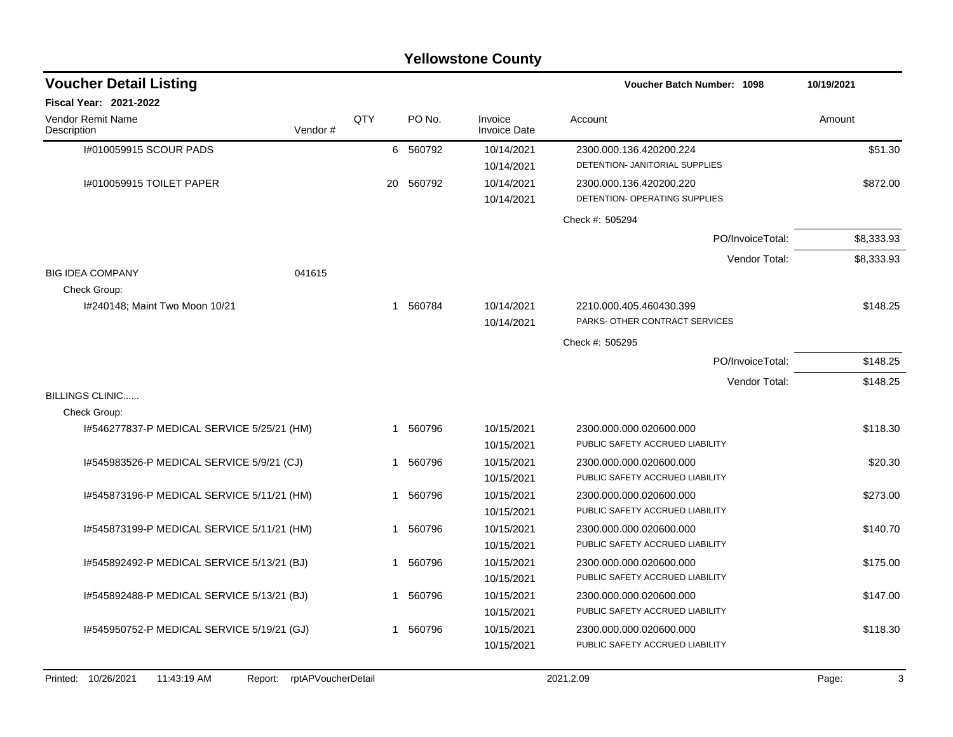|                                            |         |              |                  | <b>Yellowstone County</b>      |                                   |            |
|--------------------------------------------|---------|--------------|------------------|--------------------------------|-----------------------------------|------------|
| <b>Voucher Detail Listing</b>              |         |              |                  |                                | <b>Voucher Batch Number: 1098</b> | 10/19/2021 |
| <b>Fiscal Year: 2021-2022</b>              |         |              |                  |                                |                                   |            |
| Vendor Remit Name<br>Description           | Vendor# | <b>OTY</b>   | PO <sub>No</sub> | Invoice<br><b>Invoice Date</b> | Account                           | Amount     |
| I#010059915 SCOUR PADS                     |         |              | 6 560792         | 10/14/2021                     | 2300.000.136.420200.224           | \$51.30    |
|                                            |         |              |                  | 10/14/2021                     | DETENTION- JANITORIAL SUPPLIES    |            |
| 1#010059915 TOILET PAPER                   |         | 20           | 560792           | 10/14/2021                     | 2300.000.136.420200.220           | \$872.00   |
|                                            |         |              |                  | 10/14/2021                     | DETENTION- OPERATING SUPPLIES     |            |
|                                            |         |              |                  |                                | Check #: 505294                   |            |
|                                            |         |              |                  |                                | PO/InvoiceTotal:                  | \$8,333.93 |
|                                            |         |              |                  |                                | Vendor Total:                     | \$8,333.93 |
| <b>BIG IDEA COMPANY</b>                    | 041615  |              |                  |                                |                                   |            |
| Check Group:                               |         |              |                  |                                |                                   |            |
| I#240148; Maint Two Moon 10/21             |         |              | 1 560784         | 10/14/2021                     | 2210.000.405.460430.399           | \$148.25   |
|                                            |         |              |                  | 10/14/2021                     | PARKS- OTHER CONTRACT SERVICES    |            |
|                                            |         |              |                  |                                | Check #: 505295                   |            |
|                                            |         |              |                  |                                | PO/InvoiceTotal:                  | \$148.25   |
|                                            |         |              |                  |                                | Vendor Total:                     | \$148.25   |
| <b>BILLINGS CLINIC</b><br>Check Group:     |         |              |                  |                                |                                   |            |
| I#546277837-P MEDICAL SERVICE 5/25/21 (HM) |         | $\mathbf{1}$ | 560796           | 10/15/2021                     | 2300.000.000.020600.000           | \$118.30   |
|                                            |         |              |                  | 10/15/2021                     | PUBLIC SAFETY ACCRUED LIABILITY   |            |
| I#545983526-P MEDICAL SERVICE 5/9/21 (CJ)  |         | -1           | 560796           | 10/15/2021                     | 2300.000.000.020600.000           | \$20.30    |
|                                            |         |              |                  | 10/15/2021                     | PUBLIC SAFETY ACCRUED LIABILITY   |            |
| I#545873196-P MEDICAL SERVICE 5/11/21 (HM) |         | $\mathbf{1}$ | 560796           | 10/15/2021                     | 2300.000.000.020600.000           | \$273.00   |
|                                            |         |              |                  | 10/15/2021                     | PUBLIC SAFETY ACCRUED LIABILITY   |            |
| I#545873199-P MEDICAL SERVICE 5/11/21 (HM) |         | -1           | 560796           | 10/15/2021                     | 2300.000.000.020600.000           | \$140.70   |
|                                            |         |              |                  | 10/15/2021                     | PUBLIC SAFETY ACCRUED LIABILITY   |            |
| I#545892492-P MEDICAL SERVICE 5/13/21 (BJ) |         | $\mathbf 1$  | 560796           | 10/15/2021                     | 2300.000.000.020600.000           | \$175.00   |
|                                            |         |              |                  | 10/15/2021                     | PUBLIC SAFETY ACCRUED LIABILITY   |            |
| I#545892488-P MEDICAL SERVICE 5/13/21 (BJ) |         | $\mathbf{1}$ | 560796           | 10/15/2021                     | 2300.000.000.020600.000           | \$147.00   |
|                                            |         |              |                  | 10/15/2021                     | PUBLIC SAFETY ACCRUED LIABILITY   |            |
| I#545950752-P MEDICAL SERVICE 5/19/21 (GJ) |         | 1            | 560796           | 10/15/2021                     | 2300.000.000.020600.000           | \$118.30   |
|                                            |         |              |                  | 10/15/2021                     | PUBLIC SAFETY ACCRUED LIABILITY   |            |
|                                            |         |              |                  |                                |                                   |            |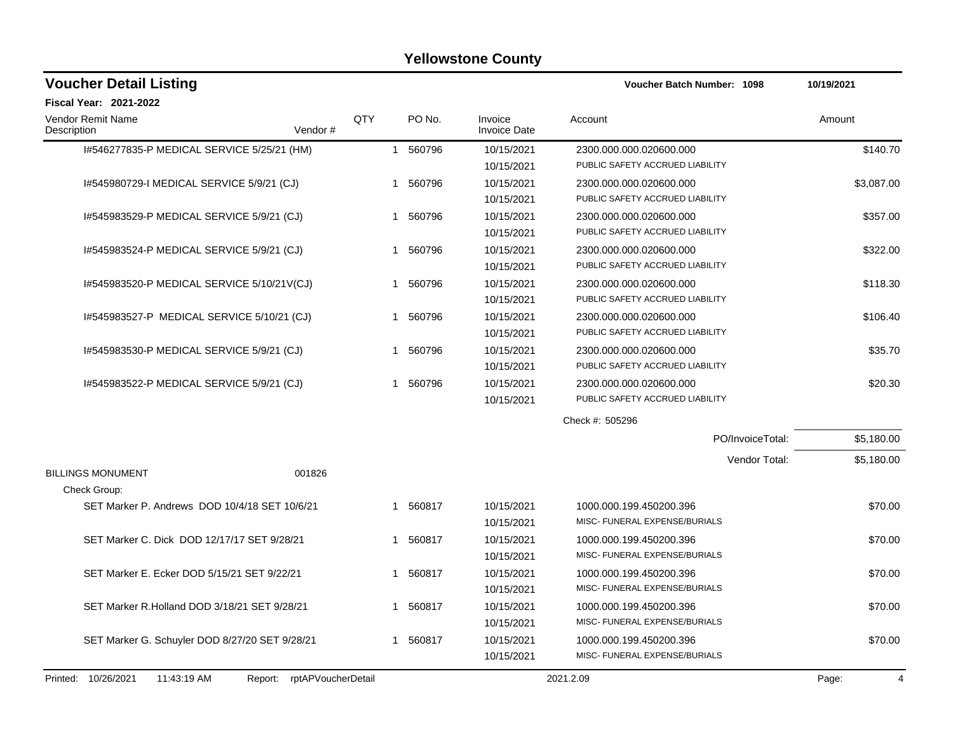| <b>Voucher Detail Listing</b>                  |                               |     |                        |                                | Voucher Batch Number: 1098                                 | 10/19/2021              |
|------------------------------------------------|-------------------------------|-----|------------------------|--------------------------------|------------------------------------------------------------|-------------------------|
| <b>Fiscal Year: 2021-2022</b>                  |                               |     |                        |                                |                                                            |                         |
| Vendor Remit Name<br>Description               | Vendor#                       | QTY | PO No.                 | Invoice<br><b>Invoice Date</b> | Account                                                    | Amount                  |
| I#546277835-P MEDICAL SERVICE 5/25/21 (HM)     |                               |     | 1 560796               | 10/15/2021<br>10/15/2021       | 2300.000.000.020600.000<br>PUBLIC SAFETY ACCRUED LIABILITY | \$140.70                |
| I#545980729-I MEDICAL SERVICE 5/9/21 (CJ)      |                               |     | 1 560796               | 10/15/2021<br>10/15/2021       | 2300.000.000.020600.000<br>PUBLIC SAFETY ACCRUED LIABILITY | \$3,087.00              |
| I#545983529-P MEDICAL SERVICE 5/9/21 (CJ)      |                               |     | 560796<br>$\mathbf{1}$ | 10/15/2021<br>10/15/2021       | 2300.000.000.020600.000<br>PUBLIC SAFETY ACCRUED LIABILITY | \$357.00                |
| I#545983524-P MEDICAL SERVICE 5/9/21 (CJ)      |                               |     | 560796<br>1            | 10/15/2021<br>10/15/2021       | 2300.000.000.020600.000<br>PUBLIC SAFETY ACCRUED LIABILITY | \$322.00                |
| I#545983520-P MEDICAL SERVICE 5/10/21V(CJ)     |                               |     | 560796<br>$\mathbf 1$  | 10/15/2021<br>10/15/2021       | 2300.000.000.020600.000<br>PUBLIC SAFETY ACCRUED LIABILITY | \$118.30                |
| I#545983527-P MEDICAL SERVICE 5/10/21 (CJ)     |                               |     | 560796<br>$\mathbf 1$  | 10/15/2021<br>10/15/2021       | 2300.000.000.020600.000<br>PUBLIC SAFETY ACCRUED LIABILITY | \$106.40                |
| I#545983530-P MEDICAL SERVICE 5/9/21 (CJ)      |                               |     | 560796<br>1            | 10/15/2021<br>10/15/2021       | 2300.000.000.020600.000<br>PUBLIC SAFETY ACCRUED LIABILITY | \$35.70                 |
| I#545983522-P MEDICAL SERVICE 5/9/21 (CJ)      |                               |     | 560796<br>$\mathbf 1$  | 10/15/2021<br>10/15/2021       | 2300.000.000.020600.000<br>PUBLIC SAFETY ACCRUED LIABILITY | \$20.30                 |
|                                                |                               |     |                        |                                | Check #: 505296                                            |                         |
|                                                |                               |     |                        |                                | PO/InvoiceTotal:                                           | \$5,180.00              |
| <b>BILLINGS MONUMENT</b>                       | 001826                        |     |                        |                                | Vendor Total:                                              | \$5,180.00              |
| Check Group:                                   |                               |     |                        |                                |                                                            |                         |
| SET Marker P. Andrews DOD 10/4/18 SET 10/6/21  |                               |     | 1 560817               | 10/15/2021<br>10/15/2021       | 1000.000.199.450200.396<br>MISC- FUNERAL EXPENSE/BURIALS   | \$70.00                 |
| SET Marker C. Dick DOD 12/17/17 SET 9/28/21    |                               |     | 560817<br>1            | 10/15/2021<br>10/15/2021       | 1000.000.199.450200.396<br>MISC- FUNERAL EXPENSE/BURIALS   | \$70.00                 |
| SET Marker E. Ecker DOD 5/15/21 SET 9/22/21    |                               |     | 1 560817               | 10/15/2021<br>10/15/2021       | 1000.000.199.450200.396<br>MISC- FUNERAL EXPENSE/BURIALS   | \$70.00                 |
| SET Marker R. Holland DOD 3/18/21 SET 9/28/21  |                               |     | 1 560817               | 10/15/2021<br>10/15/2021       | 1000.000.199.450200.396<br>MISC- FUNERAL EXPENSE/BURIALS   | \$70.00                 |
| SET Marker G. Schuyler DOD 8/27/20 SET 9/28/21 |                               |     | 1 560817               | 10/15/2021<br>10/15/2021       | 1000.000.199.450200.396<br>MISC- FUNERAL EXPENSE/BURIALS   | \$70.00                 |
| Printed: 10/26/2021<br>11:43:19 AM             | rptAPVoucherDetail<br>Report: |     |                        |                                | 2021.2.09                                                  | Page:<br>$\overline{4}$ |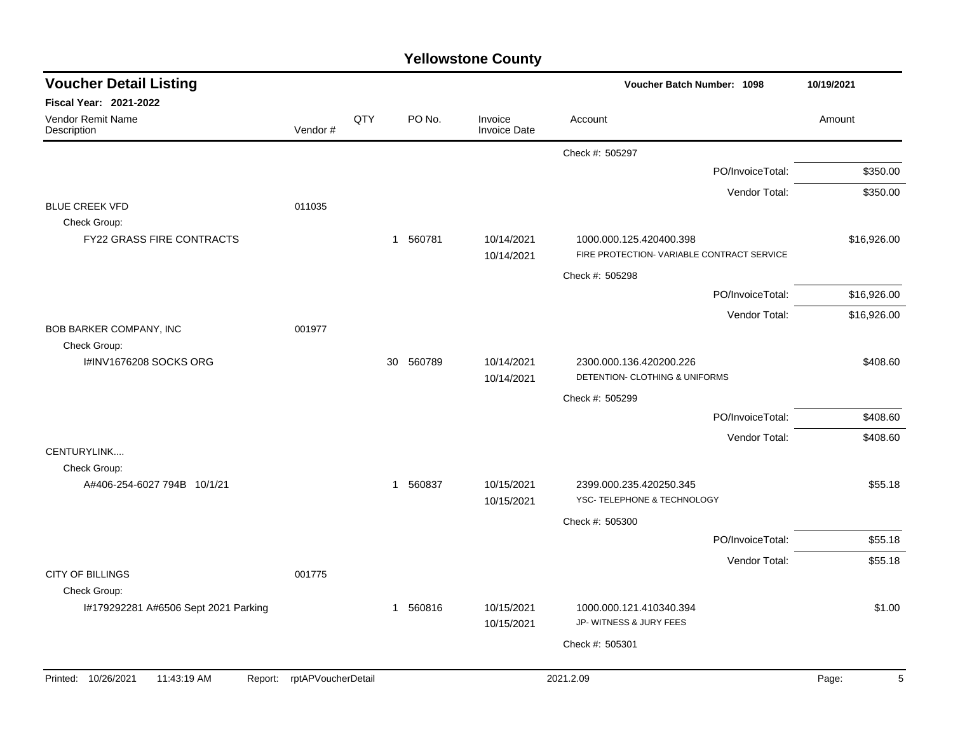| <b>Yellowstone County</b> |  |
|---------------------------|--|
|---------------------------|--|

| <b>Voucher Detail Listing</b>                    |                            |              |                        |                                | Voucher Batch Number: 1098                                            | 10/19/2021  |
|--------------------------------------------------|----------------------------|--------------|------------------------|--------------------------------|-----------------------------------------------------------------------|-------------|
| Fiscal Year: 2021-2022                           |                            |              |                        |                                |                                                                       |             |
| <b>Vendor Remit Name</b><br>Description          | Vendor#                    | QTY          | PO No.                 | Invoice<br><b>Invoice Date</b> | Account                                                               | Amount      |
|                                                  |                            |              |                        |                                | Check #: 505297                                                       |             |
|                                                  |                            |              |                        |                                | PO/InvoiceTotal:                                                      | \$350.00    |
|                                                  |                            |              |                        |                                | Vendor Total:                                                         | \$350.00    |
| <b>BLUE CREEK VFD</b>                            | 011035                     |              |                        |                                |                                                                       |             |
| Check Group:<br><b>FY22 GRASS FIRE CONTRACTS</b> |                            |              | 560781<br>$\mathbf{1}$ | 10/14/2021<br>10/14/2021       | 1000.000.125.420400.398<br>FIRE PROTECTION- VARIABLE CONTRACT SERVICE | \$16,926.00 |
|                                                  |                            |              |                        |                                | Check #: 505298                                                       |             |
|                                                  |                            |              |                        |                                | PO/InvoiceTotal:                                                      | \$16,926.00 |
|                                                  |                            |              |                        |                                | Vendor Total:                                                         | \$16,926.00 |
| BOB BARKER COMPANY, INC                          | 001977                     |              |                        |                                |                                                                       |             |
| Check Group:<br>I#INV1676208 SOCKS ORG           |                            | 30           | 560789                 | 10/14/2021<br>10/14/2021       | 2300.000.136.420200.226<br>DETENTION- CLOTHING & UNIFORMS             | \$408.60    |
|                                                  |                            |              |                        |                                | Check #: 505299                                                       |             |
|                                                  |                            |              |                        |                                | PO/InvoiceTotal:                                                      | \$408.60    |
|                                                  |                            |              |                        |                                | Vendor Total:                                                         | \$408.60    |
| CENTURYLINK<br>Check Group:                      |                            |              |                        |                                |                                                                       |             |
| A#406-254-6027 794B 10/1/21                      |                            | $\mathbf{1}$ | 560837                 | 10/15/2021<br>10/15/2021       | 2399.000.235.420250.345<br>YSC- TELEPHONE & TECHNOLOGY                | \$55.18     |
|                                                  |                            |              |                        |                                | Check #: 505300                                                       |             |
|                                                  |                            |              |                        |                                | PO/InvoiceTotal:                                                      | \$55.18     |
|                                                  |                            |              |                        |                                | Vendor Total:                                                         | \$55.18     |
| <b>CITY OF BILLINGS</b><br>Check Group:          | 001775                     |              |                        |                                |                                                                       |             |
| I#179292281 A#6506 Sept 2021 Parking             |                            |              | 1 560816               | 10/15/2021<br>10/15/2021       | 1000.000.121.410340.394<br>JP- WITNESS & JURY FEES                    | \$1.00      |
|                                                  |                            |              |                        |                                | Check #: 505301                                                       |             |
|                                                  |                            |              |                        |                                |                                                                       |             |
| Printed: 10/26/2021<br>11:43:19 AM               | Report: rptAPVoucherDetail |              |                        |                                | 2021.2.09                                                             | Page:<br>5  |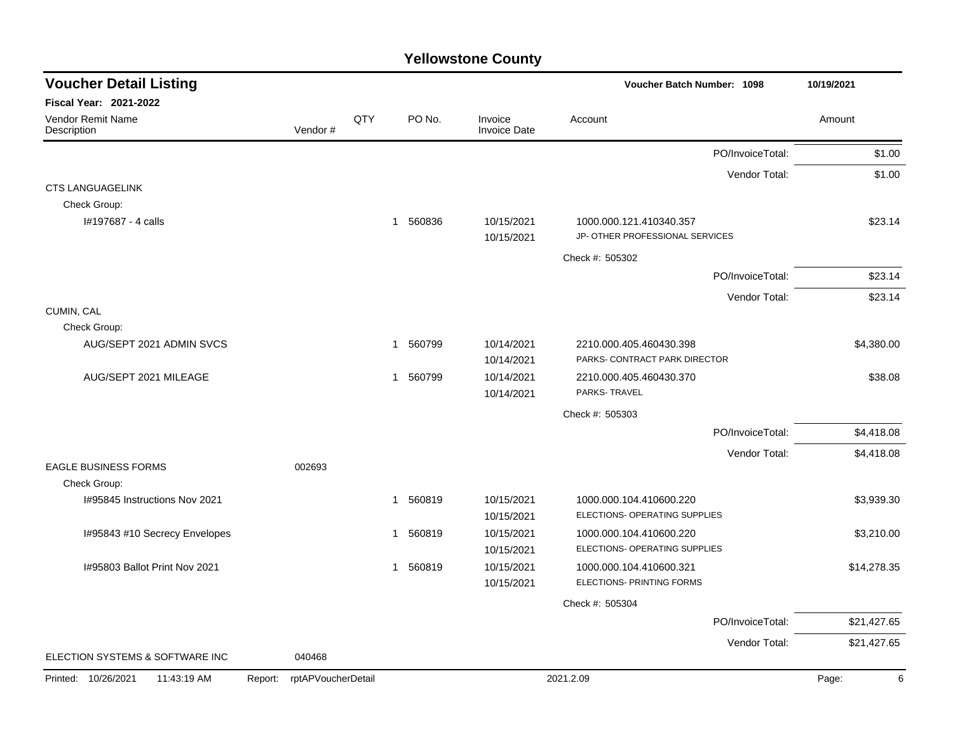| <b>Voucher Detail Listing</b>      |                               |     |                        |                                | Voucher Batch Number: 1098                                 |                  | 10/19/2021  |
|------------------------------------|-------------------------------|-----|------------------------|--------------------------------|------------------------------------------------------------|------------------|-------------|
| Fiscal Year: 2021-2022             |                               |     |                        |                                |                                                            |                  |             |
| Vendor Remit Name<br>Description   | Vendor#                       | QTY | PO No.                 | Invoice<br><b>Invoice Date</b> | Account                                                    |                  | Amount      |
|                                    |                               |     |                        |                                |                                                            | PO/InvoiceTotal: | \$1.00      |
|                                    |                               |     |                        |                                |                                                            | Vendor Total:    | \$1.00      |
| <b>CTS LANGUAGELINK</b>            |                               |     |                        |                                |                                                            |                  |             |
| Check Group:                       |                               |     |                        |                                |                                                            |                  |             |
| I#197687 - 4 calls                 |                               |     | 560836<br>$\mathbf 1$  | 10/15/2021<br>10/15/2021       | 1000.000.121.410340.357<br>JP- OTHER PROFESSIONAL SERVICES |                  | \$23.14     |
|                                    |                               |     |                        |                                | Check #: 505302                                            |                  |             |
|                                    |                               |     |                        |                                |                                                            | PO/InvoiceTotal: | \$23.14     |
|                                    |                               |     |                        |                                |                                                            | Vendor Total:    | \$23.14     |
| CUMIN, CAL                         |                               |     |                        |                                |                                                            |                  |             |
| Check Group:                       |                               |     |                        |                                |                                                            |                  |             |
| AUG/SEPT 2021 ADMIN SVCS           |                               |     | 560799<br>1            | 10/14/2021                     | 2210.000.405.460430.398                                    |                  | \$4,380.00  |
|                                    |                               |     |                        | 10/14/2021                     | PARKS- CONTRACT PARK DIRECTOR                              |                  |             |
| AUG/SEPT 2021 MILEAGE              |                               |     | 560799<br>1            | 10/14/2021                     | 2210.000.405.460430.370                                    |                  | \$38.08     |
|                                    |                               |     |                        | 10/14/2021                     | PARKS-TRAVEL                                               |                  |             |
|                                    |                               |     |                        |                                | Check #: 505303                                            |                  |             |
|                                    |                               |     |                        |                                |                                                            | PO/InvoiceTotal: | \$4,418.08  |
|                                    |                               |     |                        |                                |                                                            | Vendor Total:    | \$4,418.08  |
| <b>EAGLE BUSINESS FORMS</b>        | 002693                        |     |                        |                                |                                                            |                  |             |
| Check Group:                       |                               |     |                        |                                |                                                            |                  |             |
| 1#95845 Instructions Nov 2021      |                               |     | 560819<br>1            | 10/15/2021                     | 1000.000.104.410600.220                                    |                  | \$3,939.30  |
|                                    |                               |     |                        | 10/15/2021                     | ELECTIONS- OPERATING SUPPLIES                              |                  |             |
| I#95843 #10 Secrecy Envelopes      |                               |     | 560819<br>$\mathbf 1$  | 10/15/2021                     | 1000.000.104.410600.220                                    |                  | \$3,210.00  |
|                                    |                               |     |                        | 10/15/2021                     | ELECTIONS- OPERATING SUPPLIES                              |                  |             |
| I#95803 Ballot Print Nov 2021      |                               |     | 560819<br>$\mathbf{1}$ | 10/15/2021                     | 1000.000.104.410600.321                                    |                  | \$14,278.35 |
|                                    |                               |     |                        | 10/15/2021                     | ELECTIONS- PRINTING FORMS                                  |                  |             |
|                                    |                               |     |                        |                                | Check #: 505304                                            |                  |             |
|                                    |                               |     |                        |                                |                                                            | PO/InvoiceTotal: | \$21,427.65 |
| ELECTION SYSTEMS & SOFTWARE INC    | 040468                        |     |                        |                                |                                                            | Vendor Total:    | \$21,427.65 |
|                                    |                               |     |                        |                                |                                                            |                  |             |
| Printed: 10/26/2021<br>11:43:19 AM | rptAPVoucherDetail<br>Report: |     |                        |                                | 2021.2.09                                                  |                  | Page:<br>6  |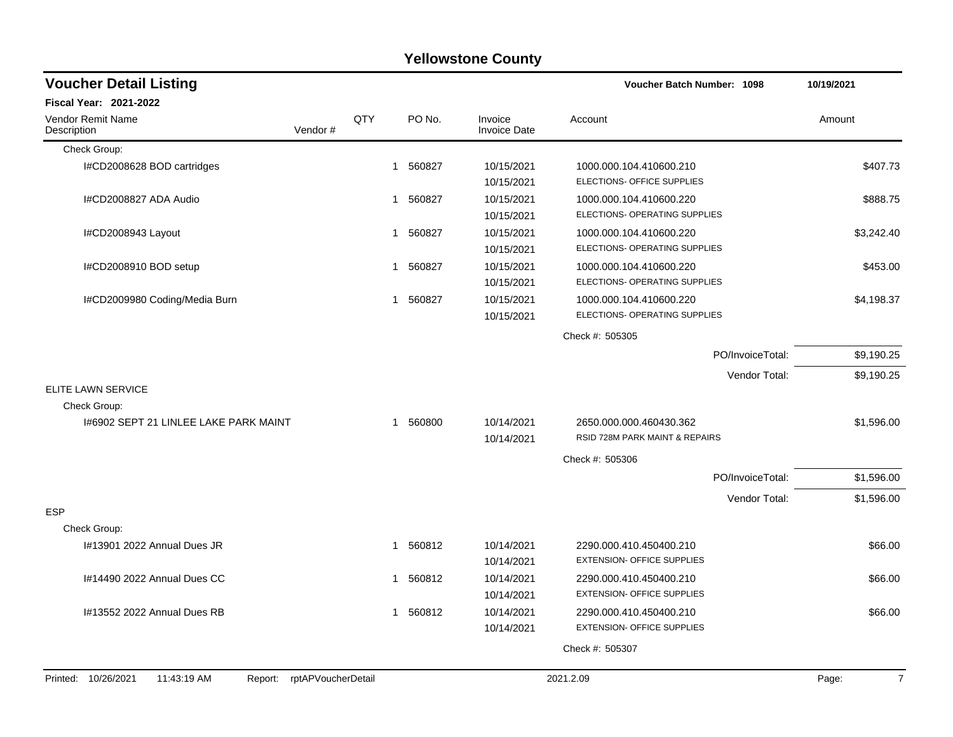|                                                                     |     |        | <b>Yellowstone County</b>      |                                                              |                         |
|---------------------------------------------------------------------|-----|--------|--------------------------------|--------------------------------------------------------------|-------------------------|
| <b>Voucher Detail Listing</b>                                       |     |        |                                | Voucher Batch Number: 1098                                   | 10/19/2021              |
| Fiscal Year: 2021-2022                                              |     |        |                                |                                                              |                         |
| Vendor Remit Name<br>Vendor#<br>Description                         | QTY | PO No. | Invoice<br><b>Invoice Date</b> | Account                                                      | Amount                  |
| Check Group:                                                        |     |        |                                |                                                              |                         |
| I#CD2008628 BOD cartridges                                          | 1   | 560827 | 10/15/2021<br>10/15/2021       | 1000.000.104.410600.210<br>ELECTIONS- OFFICE SUPPLIES        | \$407.73                |
| I#CD2008827 ADA Audio                                               | 1   | 560827 | 10/15/2021<br>10/15/2021       | 1000.000.104.410600.220<br>ELECTIONS- OPERATING SUPPLIES     | \$888.75                |
| I#CD2008943 Layout                                                  | 1   | 560827 | 10/15/2021<br>10/15/2021       | 1000.000.104.410600.220<br>ELECTIONS- OPERATING SUPPLIES     | \$3,242.40              |
| I#CD2008910 BOD setup                                               | 1   | 560827 | 10/15/2021<br>10/15/2021       | 1000.000.104.410600.220<br>ELECTIONS- OPERATING SUPPLIES     | \$453.00                |
| I#CD2009980 Coding/Media Burn                                       | 1   | 560827 | 10/15/2021<br>10/15/2021       | 1000.000.104.410600.220<br>ELECTIONS- OPERATING SUPPLIES     | \$4,198.37              |
|                                                                     |     |        |                                | Check #: 505305                                              |                         |
|                                                                     |     |        |                                | PO/InvoiceTotal:                                             | \$9,190.25              |
|                                                                     |     |        |                                | Vendor Total:                                                | \$9,190.25              |
| <b>ELITE LAWN SERVICE</b>                                           |     |        |                                |                                                              |                         |
| Check Group:                                                        |     |        |                                |                                                              |                         |
| 1#6902 SEPT 21 LINLEE LAKE PARK MAINT                               | 1   | 560800 | 10/14/2021<br>10/14/2021       | 2650.000.000.460430.362<br>RSID 728M PARK MAINT & REPAIRS    | \$1,596.00              |
|                                                                     |     |        |                                | Check #: 505306                                              |                         |
|                                                                     |     |        |                                | PO/InvoiceTotal:                                             | \$1,596.00              |
|                                                                     |     |        |                                | Vendor Total:                                                | \$1,596.00              |
| <b>ESP</b><br>Check Group:                                          |     |        |                                |                                                              |                         |
| I#13901 2022 Annual Dues JR                                         | 1   | 560812 | 10/14/2021<br>10/14/2021       | 2290.000.410.450400.210<br><b>EXTENSION- OFFICE SUPPLIES</b> | \$66.00                 |
| I#14490 2022 Annual Dues CC                                         | 1.  | 560812 | 10/14/2021<br>10/14/2021       | 2290.000.410.450400.210<br>EXTENSION- OFFICE SUPPLIES        | \$66.00                 |
| I#13552 2022 Annual Dues RB                                         | 1   | 560812 | 10/14/2021<br>10/14/2021       | 2290.000.410.450400.210<br><b>EXTENSION- OFFICE SUPPLIES</b> | \$66.00                 |
|                                                                     |     |        |                                | Check #: 505307                                              |                         |
| rptAPVoucherDetail<br>Printed: 10/26/2021<br>11:43:19 AM<br>Report: |     |        |                                | 2021.2.09                                                    | Page:<br>$\overline{7}$ |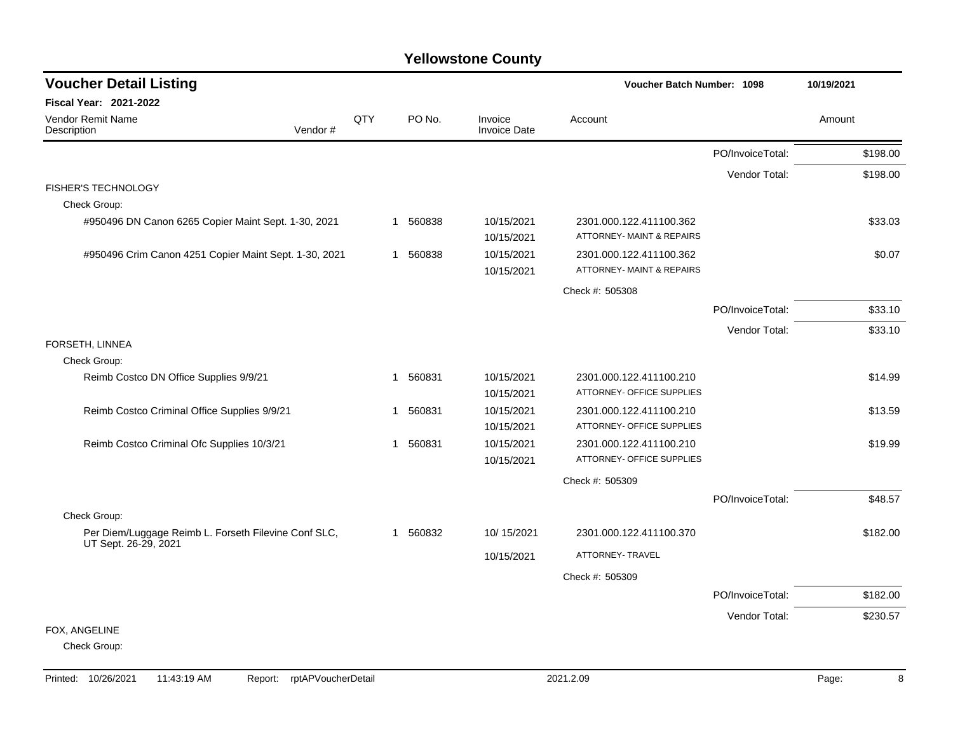| <b>Voucher Detail Listing</b>                                                | Voucher Batch Number: 1098 |          | 10/19/2021                     |                                                                 |                  |          |
|------------------------------------------------------------------------------|----------------------------|----------|--------------------------------|-----------------------------------------------------------------|------------------|----------|
| Fiscal Year: 2021-2022                                                       |                            |          |                                |                                                                 |                  |          |
| <b>Vendor Remit Name</b><br>Description<br>Vendor#                           | QTY                        | PO No.   | Invoice<br><b>Invoice Date</b> | Account                                                         |                  | Amount   |
|                                                                              |                            |          |                                |                                                                 | PO/InvoiceTotal: | \$198.00 |
|                                                                              |                            |          |                                |                                                                 | Vendor Total:    | \$198.00 |
| <b>FISHER'S TECHNOLOGY</b>                                                   |                            |          |                                |                                                                 |                  |          |
| Check Group:                                                                 |                            |          |                                |                                                                 |                  |          |
| #950496 DN Canon 6265 Copier Maint Sept. 1-30, 2021                          | 1                          | 560838   | 10/15/2021<br>10/15/2021       | 2301.000.122.411100.362<br><b>ATTORNEY- MAINT &amp; REPAIRS</b> |                  | \$33.03  |
| #950496 Crim Canon 4251 Copier Maint Sept. 1-30, 2021                        |                            | 1 560838 | 10/15/2021                     | 2301.000.122.411100.362                                         |                  | \$0.07   |
|                                                                              |                            |          | 10/15/2021                     | ATTORNEY- MAINT & REPAIRS                                       |                  |          |
|                                                                              |                            |          |                                | Check #: 505308                                                 |                  |          |
|                                                                              |                            |          |                                |                                                                 | PO/InvoiceTotal: | \$33.10  |
|                                                                              |                            |          |                                |                                                                 | Vendor Total:    | \$33.10  |
| FORSETH, LINNEA                                                              |                            |          |                                |                                                                 |                  |          |
| Check Group:                                                                 |                            |          |                                |                                                                 |                  |          |
| Reimb Costco DN Office Supplies 9/9/21                                       | 1                          | 560831   | 10/15/2021                     | 2301.000.122.411100.210                                         |                  | \$14.99  |
|                                                                              |                            |          | 10/15/2021                     | ATTORNEY- OFFICE SUPPLIES                                       |                  |          |
| Reimb Costco Criminal Office Supplies 9/9/21                                 | -1                         | 560831   | 10/15/2021                     | 2301.000.122.411100.210                                         |                  | \$13.59  |
|                                                                              |                            |          | 10/15/2021                     | ATTORNEY- OFFICE SUPPLIES                                       |                  |          |
| Reimb Costco Criminal Ofc Supplies 10/3/21                                   | $\mathbf 1$                | 560831   | 10/15/2021                     | 2301.000.122.411100.210                                         |                  | \$19.99  |
|                                                                              |                            |          | 10/15/2021                     | ATTORNEY- OFFICE SUPPLIES                                       |                  |          |
|                                                                              |                            |          |                                | Check #: 505309                                                 |                  |          |
|                                                                              |                            |          |                                |                                                                 | PO/InvoiceTotal: | \$48.57  |
| Check Group:                                                                 |                            |          |                                |                                                                 |                  |          |
| Per Diem/Luggage Reimb L. Forseth Filevine Conf SLC,<br>UT Sept. 26-29, 2021 | 1                          | 560832   | 10/15/2021                     | 2301.000.122.411100.370                                         |                  | \$182.00 |
|                                                                              |                            |          | 10/15/2021                     | ATTORNEY- TRAVEL                                                |                  |          |
|                                                                              |                            |          |                                | Check #: 505309                                                 |                  |          |
|                                                                              |                            |          |                                |                                                                 | PO/InvoiceTotal: | \$182.00 |
|                                                                              |                            |          |                                |                                                                 | Vendor Total:    | \$230.57 |
| FOX, ANGELINE                                                                |                            |          |                                |                                                                 |                  |          |
| Check Group:                                                                 |                            |          |                                |                                                                 |                  |          |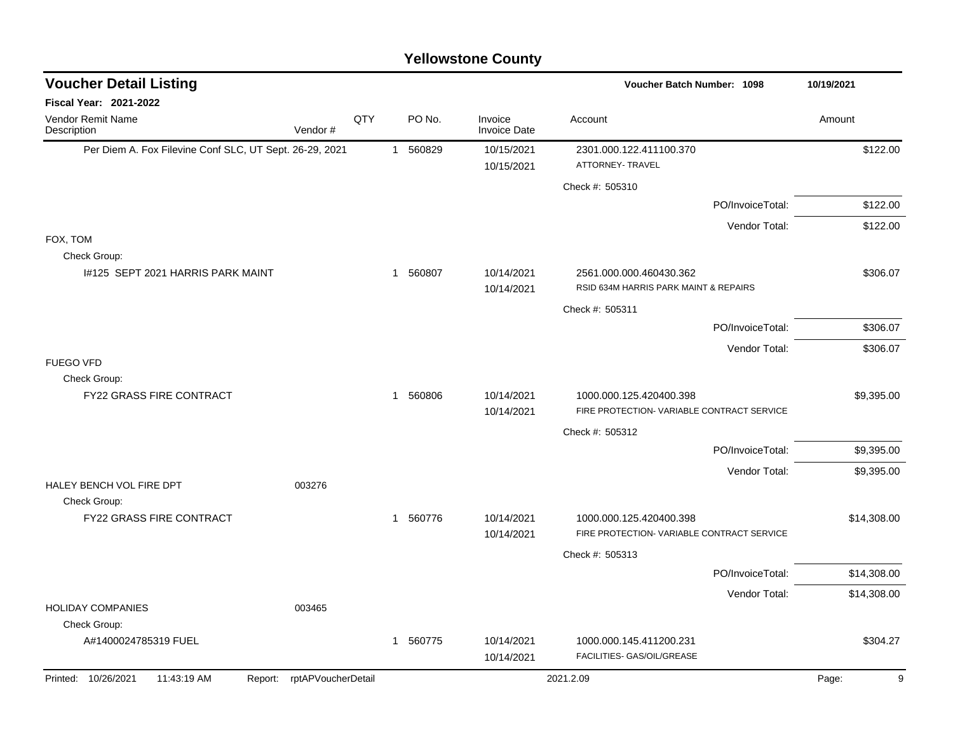| <b>Voucher Detail Listing</b>                           |                    |     |              |          |                                | <b>Voucher Batch Number: 1098</b>                                |                  | 10/19/2021  |
|---------------------------------------------------------|--------------------|-----|--------------|----------|--------------------------------|------------------------------------------------------------------|------------------|-------------|
| Fiscal Year: 2021-2022                                  |                    |     |              |          |                                |                                                                  |                  |             |
| Vendor Remit Name<br>Description                        | Vendor#            | QTY |              | PO No.   | Invoice<br><b>Invoice Date</b> | Account                                                          |                  | Amount      |
| Per Diem A. Fox Filevine Conf SLC, UT Sept. 26-29, 2021 |                    |     |              | 1 560829 | 10/15/2021                     | 2301.000.122.411100.370                                          |                  | \$122.00    |
|                                                         |                    |     |              |          | 10/15/2021                     | ATTORNEY- TRAVEL                                                 |                  |             |
|                                                         |                    |     |              |          |                                | Check #: 505310                                                  |                  |             |
|                                                         |                    |     |              |          |                                |                                                                  | PO/InvoiceTotal: | \$122.00    |
|                                                         |                    |     |              |          |                                |                                                                  | Vendor Total:    | \$122.00    |
| FOX, TOM<br>Check Group:                                |                    |     |              |          |                                |                                                                  |                  |             |
| 1#125 SEPT 2021 HARRIS PARK MAINT                       |                    |     |              | 1 560807 | 10/14/2021<br>10/14/2021       | 2561.000.000.460430.362<br>RSID 634M HARRIS PARK MAINT & REPAIRS |                  | \$306.07    |
|                                                         |                    |     |              |          |                                | Check #: 505311                                                  |                  |             |
|                                                         |                    |     |              |          |                                |                                                                  | PO/InvoiceTotal: | \$306.07    |
|                                                         |                    |     |              |          |                                |                                                                  | Vendor Total:    | \$306.07    |
| <b>FUEGO VFD</b><br>Check Group:                        |                    |     |              |          |                                |                                                                  |                  |             |
| <b>FY22 GRASS FIRE CONTRACT</b>                         |                    |     | $\mathbf{1}$ | 560806   | 10/14/2021                     | 1000.000.125.420400.398                                          |                  | \$9,395.00  |
|                                                         |                    |     |              |          | 10/14/2021                     | FIRE PROTECTION- VARIABLE CONTRACT SERVICE                       |                  |             |
|                                                         |                    |     |              |          |                                | Check #: 505312                                                  |                  |             |
|                                                         |                    |     |              |          |                                |                                                                  | PO/InvoiceTotal: | \$9,395.00  |
|                                                         |                    |     |              |          |                                |                                                                  | Vendor Total:    | \$9,395.00  |
| HALEY BENCH VOL FIRE DPT<br>Check Group:                | 003276             |     |              |          |                                |                                                                  |                  |             |
| FY22 GRASS FIRE CONTRACT                                |                    |     | $\mathbf{1}$ | 560776   | 10/14/2021                     | 1000.000.125.420400.398                                          |                  | \$14,308.00 |
|                                                         |                    |     |              |          | 10/14/2021                     | FIRE PROTECTION- VARIABLE CONTRACT SERVICE                       |                  |             |
|                                                         |                    |     |              |          |                                | Check #: 505313                                                  |                  |             |
|                                                         |                    |     |              |          |                                |                                                                  | PO/InvoiceTotal: | \$14,308.00 |
|                                                         |                    |     |              |          |                                |                                                                  | Vendor Total:    | \$14,308.00 |
| <b>HOLIDAY COMPANIES</b>                                | 003465             |     |              |          |                                |                                                                  |                  |             |
| Check Group:                                            |                    |     |              |          |                                |                                                                  |                  |             |
| A#1400024785319 FUEL                                    |                    |     | $\mathbf{1}$ | 560775   | 10/14/2021<br>10/14/2021       | 1000.000.145.411200.231<br>FACILITIES- GAS/OIL/GREASE            |                  | \$304.27    |
| Printed: 10/26/2021<br>11:43:19 AM<br>Report:           | rptAPVoucherDetail |     |              |          |                                | 2021.2.09                                                        |                  | 9<br>Page:  |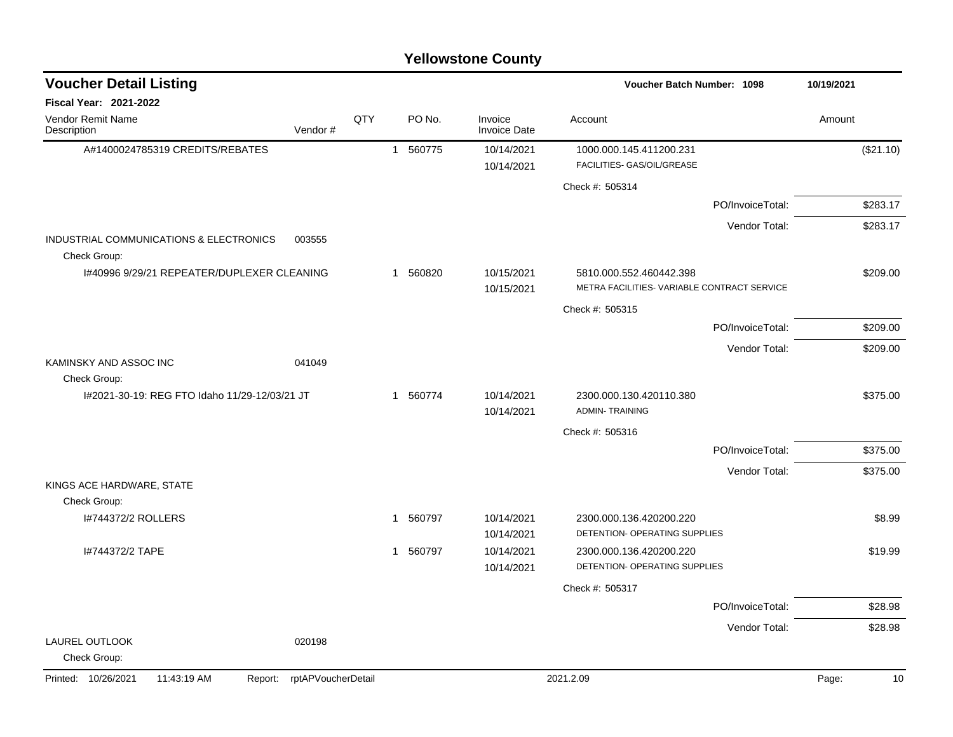| <b>Voucher Detail Listing</b>                           |                            |     |          |                                | <b>Voucher Batch Number: 1098</b>                                      |                  | 10/19/2021  |
|---------------------------------------------------------|----------------------------|-----|----------|--------------------------------|------------------------------------------------------------------------|------------------|-------------|
| <b>Fiscal Year: 2021-2022</b>                           |                            |     |          |                                |                                                                        |                  |             |
| Vendor Remit Name<br>Description                        | Vendor#                    | QTY | PO No.   | Invoice<br><b>Invoice Date</b> | Account                                                                |                  | Amount      |
| A#1400024785319 CREDITS/REBATES                         |                            |     | 1 560775 | 10/14/2021<br>10/14/2021       | 1000.000.145.411200.231<br>FACILITIES- GAS/OIL/GREASE                  |                  | (\$21.10)   |
|                                                         |                            |     |          |                                | Check #: 505314                                                        |                  |             |
|                                                         |                            |     |          |                                |                                                                        | PO/InvoiceTotal: | \$283.17    |
|                                                         |                            |     |          |                                |                                                                        | Vendor Total:    | \$283.17    |
| INDUSTRIAL COMMUNICATIONS & ELECTRONICS<br>Check Group: | 003555                     |     |          |                                |                                                                        |                  |             |
| I#40996 9/29/21 REPEATER/DUPLEXER CLEANING              |                            |     | 1 560820 | 10/15/2021<br>10/15/2021       | 5810.000.552.460442.398<br>METRA FACILITIES- VARIABLE CONTRACT SERVICE |                  | \$209.00    |
|                                                         |                            |     |          |                                | Check #: 505315                                                        |                  |             |
|                                                         |                            |     |          |                                |                                                                        | PO/InvoiceTotal: | \$209.00    |
|                                                         |                            |     |          |                                |                                                                        | Vendor Total:    | \$209.00    |
| KAMINSKY AND ASSOC INC<br>Check Group:                  | 041049                     |     |          |                                |                                                                        |                  |             |
| I#2021-30-19: REG FTO Idaho 11/29-12/03/21 JT           |                            |     | 1 560774 | 10/14/2021<br>10/14/2021       | 2300.000.130.420110.380<br><b>ADMIN-TRAINING</b>                       |                  | \$375.00    |
|                                                         |                            |     |          |                                | Check #: 505316                                                        |                  |             |
|                                                         |                            |     |          |                                |                                                                        | PO/InvoiceTotal: | \$375.00    |
|                                                         |                            |     |          |                                |                                                                        | Vendor Total:    | \$375.00    |
| KINGS ACE HARDWARE, STATE                               |                            |     |          |                                |                                                                        |                  |             |
| Check Group:<br>I#744372/2 ROLLERS                      |                            |     | 1 560797 | 10/14/2021<br>10/14/2021       | 2300.000.136.420200.220<br>DETENTION- OPERATING SUPPLIES               |                  | \$8.99      |
| I#744372/2 TAPE                                         |                            |     | 1 560797 | 10/14/2021<br>10/14/2021       | 2300.000.136.420200.220<br>DETENTION- OPERATING SUPPLIES               |                  | \$19.99     |
|                                                         |                            |     |          |                                | Check #: 505317                                                        |                  |             |
|                                                         |                            |     |          |                                |                                                                        | PO/InvoiceTotal: | \$28.98     |
|                                                         |                            |     |          |                                |                                                                        | Vendor Total:    | \$28.98     |
| LAUREL OUTLOOK<br>Check Group:                          | 020198                     |     |          |                                |                                                                        |                  |             |
| Printed: 10/26/2021<br>11:43:19 AM                      | Report: rptAPVoucherDetail |     |          |                                | 2021.2.09                                                              |                  | Page:<br>10 |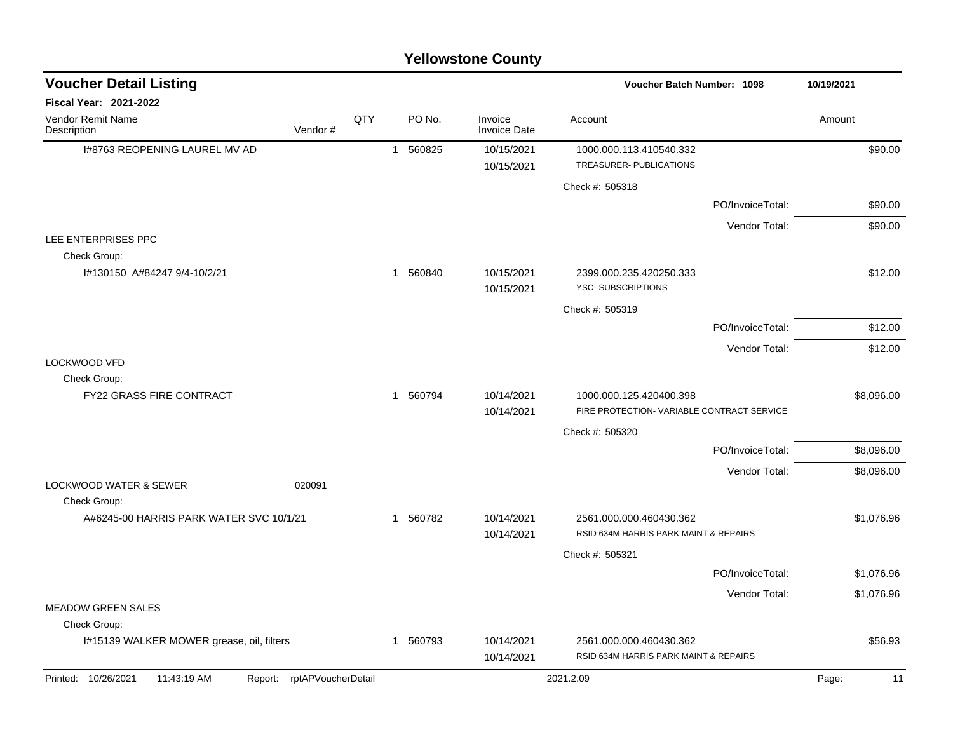|                                                                     |     |              |          | <b>Yellowstone County</b>      |                                                                       |                  |             |
|---------------------------------------------------------------------|-----|--------------|----------|--------------------------------|-----------------------------------------------------------------------|------------------|-------------|
| <b>Voucher Detail Listing</b>                                       |     |              |          |                                | <b>Voucher Batch Number: 1098</b>                                     |                  | 10/19/2021  |
| <b>Fiscal Year: 2021-2022</b>                                       |     |              |          |                                |                                                                       |                  |             |
| Vendor Remit Name<br>Vendor#<br>Description                         | QTY |              | PO No.   | Invoice<br><b>Invoice Date</b> | Account                                                               |                  | Amount      |
| 1#8763 REOPENING LAUREL MV AD                                       |     | $\mathbf{1}$ | 560825   | 10/15/2021                     | 1000.000.113.410540.332                                               |                  | \$90.00     |
|                                                                     |     |              |          | 10/15/2021                     | TREASURER- PUBLICATIONS                                               |                  |             |
|                                                                     |     |              |          |                                | Check #: 505318                                                       |                  |             |
|                                                                     |     |              |          |                                |                                                                       | PO/InvoiceTotal: | \$90.00     |
|                                                                     |     |              |          |                                |                                                                       | Vendor Total:    | \$90.00     |
| LEE ENTERPRISES PPC<br>Check Group:                                 |     |              |          |                                |                                                                       |                  |             |
| I#130150 A#84247 9/4-10/2/21                                        |     |              | 1 560840 | 10/15/2021<br>10/15/2021       | 2399.000.235.420250.333<br>YSC-SUBSCRIPTIONS                          |                  | \$12.00     |
|                                                                     |     |              |          |                                | Check #: 505319                                                       |                  |             |
|                                                                     |     |              |          |                                |                                                                       | PO/InvoiceTotal: | \$12.00     |
|                                                                     |     |              |          |                                |                                                                       | Vendor Total:    | \$12.00     |
| <b>LOCKWOOD VFD</b>                                                 |     |              |          |                                |                                                                       |                  |             |
| Check Group:                                                        |     |              |          |                                |                                                                       |                  |             |
| FY22 GRASS FIRE CONTRACT                                            |     |              | 1 560794 | 10/14/2021<br>10/14/2021       | 1000.000.125.420400.398<br>FIRE PROTECTION- VARIABLE CONTRACT SERVICE |                  | \$8,096.00  |
|                                                                     |     |              |          |                                | Check #: 505320                                                       |                  |             |
|                                                                     |     |              |          |                                |                                                                       | PO/InvoiceTotal: | \$8,096.00  |
|                                                                     |     |              |          |                                |                                                                       | Vendor Total:    | \$8,096.00  |
| <b>LOCKWOOD WATER &amp; SEWER</b><br>020091                         |     |              |          |                                |                                                                       |                  |             |
| Check Group:                                                        |     |              |          |                                |                                                                       |                  |             |
| A#6245-00 HARRIS PARK WATER SVC 10/1/21                             |     |              | 1 560782 | 10/14/2021                     | 2561.000.000.460430.362<br>RSID 634M HARRIS PARK MAINT & REPAIRS      |                  | \$1,076.96  |
|                                                                     |     |              |          | 10/14/2021                     |                                                                       |                  |             |
|                                                                     |     |              |          |                                | Check #: 505321                                                       |                  | \$1,076.96  |
|                                                                     |     |              |          |                                |                                                                       | PO/InvoiceTotal: |             |
| <b>MEADOW GREEN SALES</b>                                           |     |              |          |                                |                                                                       | Vendor Total:    | \$1,076.96  |
| Check Group:                                                        |     |              |          |                                |                                                                       |                  |             |
| I#15139 WALKER MOWER grease, oil, filters                           |     |              | 1 560793 | 10/14/2021<br>10/14/2021       | 2561.000.000.460430.362<br>RSID 634M HARRIS PARK MAINT & REPAIRS      |                  | \$56.93     |
| Printed: 10/26/2021<br>rptAPVoucherDetail<br>11:43:19 AM<br>Report: |     |              |          |                                | 2021.2.09                                                             |                  | Page:<br>11 |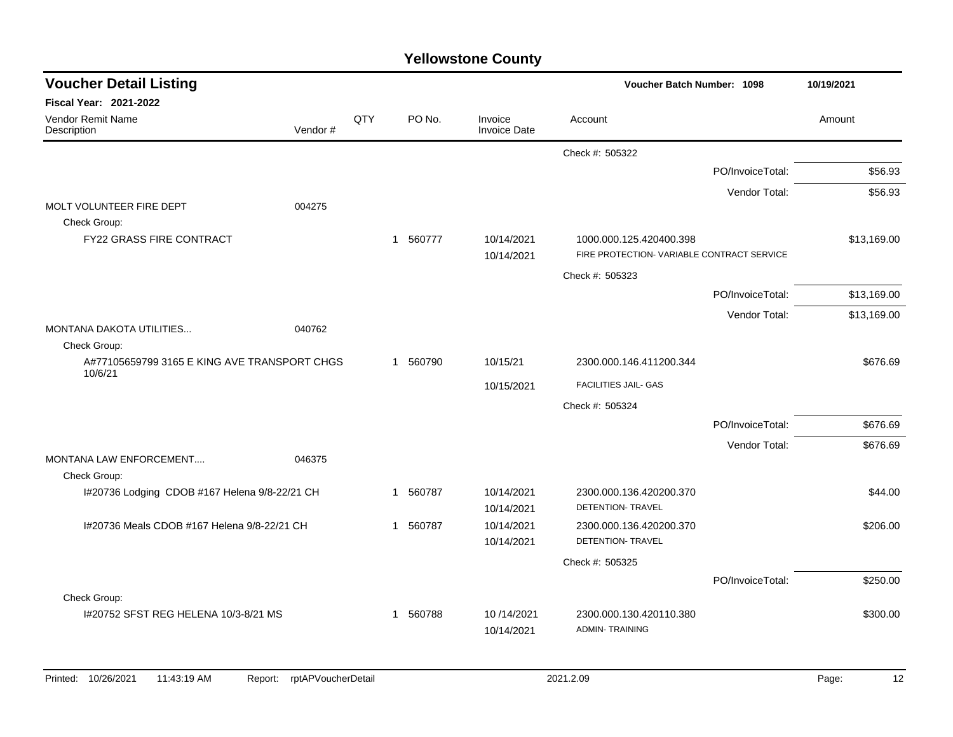| <b>Voucher Detail Listing</b>                           |         |     |             |                                | <b>Voucher Batch Number: 1098</b>                   |                  | 10/19/2021  |
|---------------------------------------------------------|---------|-----|-------------|--------------------------------|-----------------------------------------------------|------------------|-------------|
| <b>Fiscal Year: 2021-2022</b>                           |         |     |             |                                |                                                     |                  |             |
| Vendor Remit Name<br>Description                        | Vendor# | QTY | PO No.      | Invoice<br><b>Invoice Date</b> | Account                                             |                  | Amount      |
|                                                         |         |     |             |                                | Check #: 505322                                     |                  |             |
|                                                         |         |     |             |                                |                                                     | PO/InvoiceTotal: | \$56.93     |
|                                                         |         |     |             |                                |                                                     | Vendor Total:    | \$56.93     |
| MOLT VOLUNTEER FIRE DEPT                                | 004275  |     |             |                                |                                                     |                  |             |
| Check Group:<br><b>FY22 GRASS FIRE CONTRACT</b>         |         |     | 1 560777    | 10/14/2021                     | 1000.000.125.420400.398                             |                  | \$13,169.00 |
|                                                         |         |     |             | 10/14/2021                     | FIRE PROTECTION- VARIABLE CONTRACT SERVICE          |                  |             |
|                                                         |         |     |             |                                | Check #: 505323                                     |                  |             |
|                                                         |         |     |             |                                |                                                     | PO/InvoiceTotal: | \$13,169.00 |
|                                                         |         |     |             |                                |                                                     | Vendor Total:    | \$13,169.00 |
| <b>MONTANA DAKOTA UTILITIES</b>                         | 040762  |     |             |                                |                                                     |                  |             |
| Check Group:                                            |         |     |             |                                |                                                     |                  |             |
| A#77105659799 3165 E KING AVE TRANSPORT CHGS<br>10/6/21 |         |     | 1 560790    | 10/15/21                       | 2300.000.146.411200.344                             |                  | \$676.69    |
|                                                         |         |     |             | 10/15/2021                     | FACILITIES JAIL- GAS                                |                  |             |
|                                                         |         |     |             |                                | Check #: 505324                                     |                  |             |
|                                                         |         |     |             |                                |                                                     | PO/InvoiceTotal: | \$676.69    |
|                                                         |         |     |             |                                |                                                     | Vendor Total:    | \$676.69    |
| <b>MONTANA LAW ENFORCEMENT</b>                          | 046375  |     |             |                                |                                                     |                  |             |
| Check Group:                                            |         |     |             |                                |                                                     |                  |             |
| I#20736 Lodging CDOB #167 Helena 9/8-22/21 CH           |         |     | 560787<br>1 | 10/14/2021<br>10/14/2021       | 2300.000.136.420200.370<br><b>DETENTION- TRAVEL</b> |                  | \$44.00     |
| I#20736 Meals CDOB #167 Helena 9/8-22/21 CH             |         |     | 560787<br>1 | 10/14/2021                     | 2300.000.136.420200.370                             |                  | \$206.00    |
|                                                         |         |     |             | 10/14/2021                     | DETENTION- TRAVEL                                   |                  |             |
|                                                         |         |     |             |                                | Check #: 505325                                     |                  |             |
|                                                         |         |     |             |                                |                                                     | PO/InvoiceTotal: | \$250.00    |
| Check Group:                                            |         |     |             |                                |                                                     |                  |             |
| 1#20752 SFST REG HELENA 10/3-8/21 MS                    |         |     | 560788<br>1 | 10/14/2021                     | 2300.000.130.420110.380                             |                  | \$300.00    |
|                                                         |         |     |             | 10/14/2021                     | <b>ADMIN-TRAINING</b>                               |                  |             |
|                                                         |         |     |             |                                |                                                     |                  |             |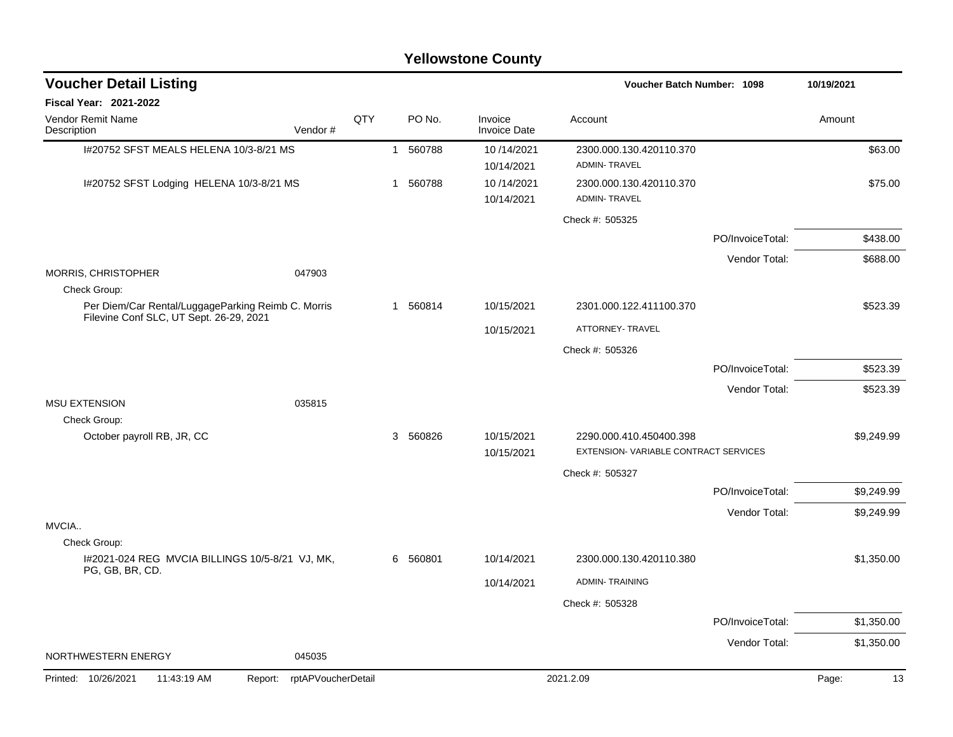| <b>Voucher Detail Listing</b>                                                                 |                               |     |              |          |                                |                                                | <b>Voucher Batch Number: 1098</b> |             |  |
|-----------------------------------------------------------------------------------------------|-------------------------------|-----|--------------|----------|--------------------------------|------------------------------------------------|-----------------------------------|-------------|--|
| <b>Fiscal Year: 2021-2022</b>                                                                 |                               |     |              |          |                                |                                                |                                   |             |  |
| Vendor Remit Name<br>Description                                                              | Vendor#                       | QTY |              | PO No.   | Invoice<br><b>Invoice Date</b> | Account                                        |                                   | Amount      |  |
| 1#20752 SFST MEALS HELENA 10/3-8/21 MS                                                        |                               |     |              | 1 560788 | 10/14/2021<br>10/14/2021       | 2300.000.130.420110.370<br><b>ADMIN-TRAVEL</b> |                                   | \$63.00     |  |
| I#20752 SFST Lodging HELENA 10/3-8/21 MS                                                      |                               |     | $\mathbf{1}$ | 560788   | 10/14/2021<br>10/14/2021       | 2300.000.130.420110.370<br><b>ADMIN-TRAVEL</b> |                                   | \$75.00     |  |
|                                                                                               |                               |     |              |          |                                | Check #: 505325                                |                                   |             |  |
|                                                                                               |                               |     |              |          |                                |                                                | PO/InvoiceTotal:                  | \$438.00    |  |
|                                                                                               |                               |     |              |          |                                |                                                | Vendor Total:                     | \$688.00    |  |
| MORRIS, CHRISTOPHER<br>Check Group:                                                           | 047903                        |     |              |          |                                |                                                |                                   |             |  |
| Per Diem/Car Rental/LuggageParking Reimb C. Morris<br>Filevine Conf SLC, UT Sept. 26-29, 2021 |                               |     |              | 1 560814 | 10/15/2021                     | 2301.000.122.411100.370                        |                                   | \$523.39    |  |
|                                                                                               |                               |     |              |          | 10/15/2021                     | ATTORNEY- TRAVEL                               |                                   |             |  |
|                                                                                               |                               |     |              |          |                                | Check #: 505326                                |                                   |             |  |
|                                                                                               |                               |     |              |          |                                |                                                | PO/InvoiceTotal:                  | \$523.39    |  |
|                                                                                               |                               |     |              |          |                                |                                                | Vendor Total:                     | \$523.39    |  |
| <b>MSU EXTENSION</b>                                                                          | 035815                        |     |              |          |                                |                                                |                                   |             |  |
| Check Group:<br>October payroll RB, JR, CC                                                    |                               |     |              | 3 560826 | 10/15/2021                     | 2290.000.410.450400.398                        |                                   | \$9,249.99  |  |
|                                                                                               |                               |     |              |          | 10/15/2021                     | EXTENSION-VARIABLE CONTRACT SERVICES           |                                   |             |  |
|                                                                                               |                               |     |              |          |                                | Check #: 505327                                |                                   |             |  |
|                                                                                               |                               |     |              |          |                                |                                                | PO/InvoiceTotal:                  | \$9,249.99  |  |
|                                                                                               |                               |     |              |          |                                |                                                | Vendor Total:                     | \$9,249.99  |  |
| MVCIA<br>Check Group:                                                                         |                               |     |              |          |                                |                                                |                                   |             |  |
| I#2021-024 REG MVCIA BILLINGS 10/5-8/21 VJ, MK,                                               |                               |     | 6            | 560801   | 10/14/2021                     | 2300.000.130.420110.380                        |                                   | \$1,350.00  |  |
| PG, GB, BR, CD.                                                                               |                               |     |              |          | 10/14/2021                     | <b>ADMIN-TRAINING</b>                          |                                   |             |  |
|                                                                                               |                               |     |              |          |                                | Check #: 505328                                |                                   |             |  |
|                                                                                               |                               |     |              |          |                                |                                                | PO/InvoiceTotal:                  | \$1,350.00  |  |
|                                                                                               |                               |     |              |          |                                |                                                | Vendor Total:                     | \$1,350.00  |  |
| NORTHWESTERN ENERGY                                                                           | 045035                        |     |              |          |                                |                                                |                                   |             |  |
| Printed: 10/26/2021<br>11:43:19 AM                                                            | rptAPVoucherDetail<br>Report: |     |              |          |                                | 2021.2.09                                      |                                   | Page:<br>13 |  |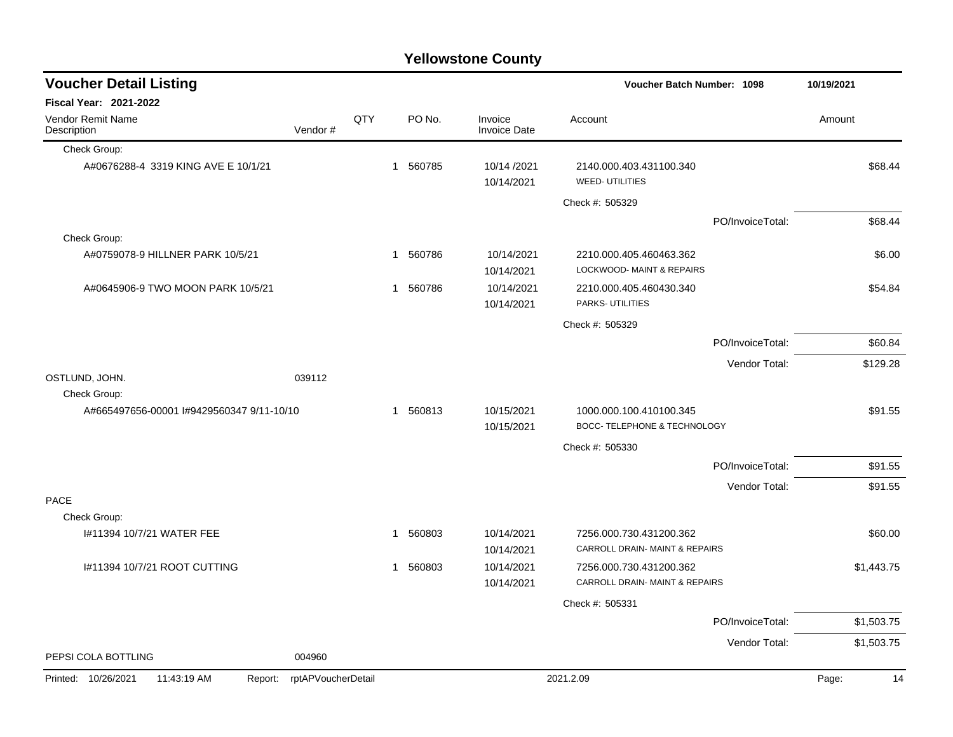| <b>Yellowstone County</b> |  |
|---------------------------|--|
|                           |  |

| <b>Voucher Detail Listing</b>                 |                    |     |             |                                          |                           | <b>Voucher Batch Number: 1098</b>                    |                  | 10/19/2021  |
|-----------------------------------------------|--------------------|-----|-------------|------------------------------------------|---------------------------|------------------------------------------------------|------------------|-------------|
| <b>Fiscal Year: 2021-2022</b>                 |                    |     |             |                                          |                           |                                                      |                  |             |
| Vendor Remit Name<br>Description              | Vendor#            | QTY |             | PO No.<br>Invoice<br><b>Invoice Date</b> |                           | Account                                              |                  | Amount      |
| Check Group:                                  |                    |     |             |                                          |                           |                                                      |                  |             |
| A#0676288-4 3319 KING AVE E 10/1/21           |                    |     | 1 560785    |                                          | 10/14 /2021<br>10/14/2021 | 2140.000.403.431100.340<br><b>WEED-UTILITIES</b>     |                  | \$68.44     |
|                                               |                    |     |             |                                          |                           | Check #: 505329                                      |                  |             |
|                                               |                    |     |             |                                          |                           |                                                      | PO/InvoiceTotal: | \$68.44     |
| Check Group:                                  |                    |     |             |                                          |                           |                                                      |                  |             |
| A#0759078-9 HILLNER PARK 10/5/21              |                    |     | 560786<br>1 |                                          | 10/14/2021<br>10/14/2021  | 2210.000.405.460463.362<br>LOCKWOOD- MAINT & REPAIRS |                  | \$6.00      |
| A#0645906-9 TWO MOON PARK 10/5/21             |                    |     | 1 560786    |                                          | 10/14/2021<br>10/14/2021  | 2210.000.405.460430.340<br>PARKS- UTILITIES          |                  | \$54.84     |
|                                               |                    |     |             |                                          |                           | Check #: 505329                                      |                  |             |
|                                               |                    |     |             |                                          |                           |                                                      | PO/InvoiceTotal: | \$60.84     |
|                                               |                    |     |             |                                          |                           |                                                      | Vendor Total:    | \$129.28    |
| OSTLUND, JOHN.                                | 039112             |     |             |                                          |                           |                                                      |                  |             |
| Check Group:                                  |                    |     |             |                                          |                           |                                                      |                  |             |
| A#665497656-00001 I#9429560347 9/11-10/10     |                    |     | 1 560813    |                                          | 10/15/2021                | 1000.000.100.410100.345                              |                  | \$91.55     |
|                                               |                    |     |             |                                          | 10/15/2021                | <b>BOCC-TELEPHONE &amp; TECHNOLOGY</b>               |                  |             |
|                                               |                    |     |             |                                          |                           | Check #: 505330                                      |                  |             |
|                                               |                    |     |             |                                          |                           |                                                      | PO/InvoiceTotal: | \$91.55     |
|                                               |                    |     |             |                                          |                           |                                                      | Vendor Total:    | \$91.55     |
| <b>PACE</b><br>Check Group:                   |                    |     |             |                                          |                           |                                                      |                  |             |
| #11394 10/7/21 WATER FEE                      |                    |     | 1 560803    |                                          | 10/14/2021                | 7256.000.730.431200.362                              |                  | \$60.00     |
|                                               |                    |     |             |                                          | 10/14/2021                | CARROLL DRAIN- MAINT & REPAIRS                       |                  |             |
| I#11394 10/7/21 ROOT CUTTING                  |                    |     | 560803<br>1 |                                          | 10/14/2021                | 7256.000.730.431200.362                              |                  | \$1,443.75  |
|                                               |                    |     |             |                                          | 10/14/2021                | CARROLL DRAIN- MAINT & REPAIRS                       |                  |             |
|                                               |                    |     |             |                                          |                           | Check #: 505331                                      |                  |             |
|                                               |                    |     |             |                                          |                           |                                                      | PO/InvoiceTotal: | \$1,503.75  |
|                                               |                    |     |             |                                          |                           |                                                      | Vendor Total:    | \$1,503.75  |
| PEPSI COLA BOTTLING                           | 004960             |     |             |                                          |                           |                                                      |                  |             |
| Printed: 10/26/2021<br>11:43:19 AM<br>Report: | rptAPVoucherDetail |     |             |                                          | 2021.2.09                 |                                                      |                  | Page:<br>14 |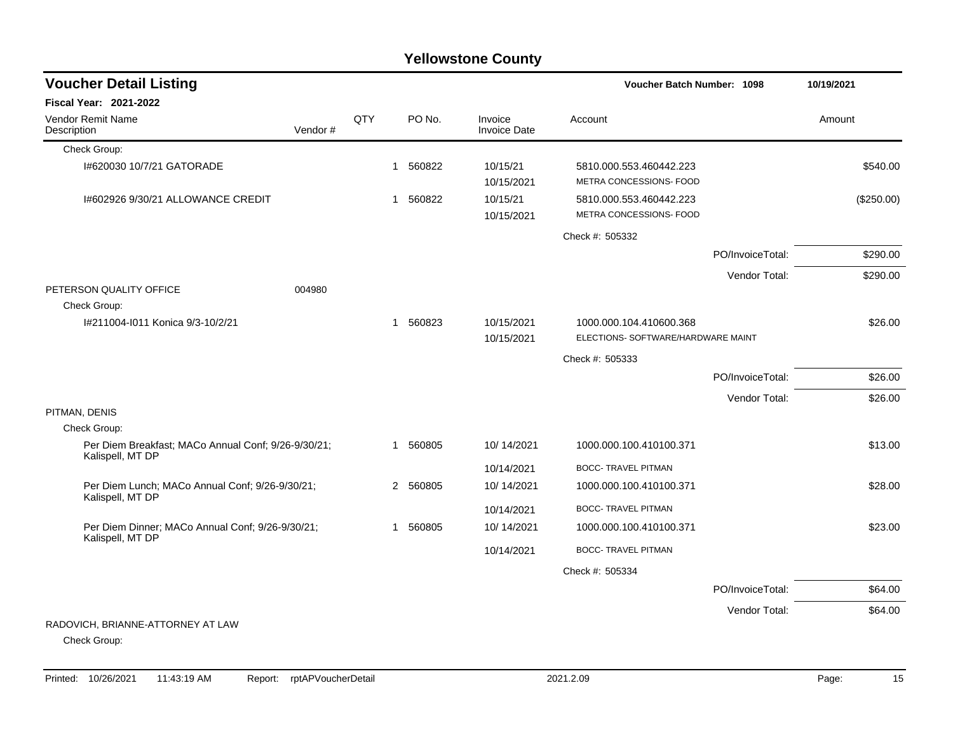## Check Group: I#620030 10/7/21 GATORADE 1 560822 10/15/21 5810.000.553.460442.223 \$540.00 10/15/2021 METRA CONCESSIONS- FOOD I#602926 9/30/21 ALLOWANCE CREDIT 1 560822 10/15/21 5810.000.553.460442.223 (\$250.00) 10/15/2021 METRA CONCESSIONS- FOOD Check #: 505332 PO/InvoiceTotal: \$290.00 Vendor Total: \$290.00 PETERSON QUALITY OFFICE 004980 Check Group: I#211004-I011 Konica 9/3-10/2/21 1 560823 10/15/2021 1000.000.104.410600.368 \$26.00 10/15/2021 ELECTIONS- SOFTWARE/HARDWARE MAINT Check #: 505333 PO/InvoiceTotal: \$26.00 Vendor Total: \$26.00 PITMAN, DENIS Check Group: Per Diem Breakfast; MACo Annual Conf; 9/26-9/30/21; Kalispell, MT DP 1 560805 10/ 14/2021 1000.000.100.410100.371 \$13.00 10/14/2021 BOCC- TRAVEL PITMAN Per Diem Lunch; MACo Annual Conf; 9/26-9/30/21; Kalispell, MT DP 2 560805 10/ 14/2021 1000.000.100.410100.371 \$28.00 10/14/2021 BOCC- TRAVEL PITMAN Per Diem Dinner; MACo Annual Conf; 9/26-9/30/21; Kalispell, MT DP 1 560805 10/ 14/2021 1000.000.100.410100.371 \$23.00 10/14/2021 BOCC- TRAVEL PITMAN Check #: 505334 PO/InvoiceTotal: \$64.00 Vendor Total: \$64.00 RADOVICH, BRIANNE-ATTORNEY AT LAW Check Group: **Voucher Batch Number: Yellowstone County** Vendor Remit Name Description **Voucher Detail Listing Fiscal Year: 2021-2022 1098 10/19/2021** PO No. Invoice Account Amount Amount Amount Amount Vendor # QTY Invoice Date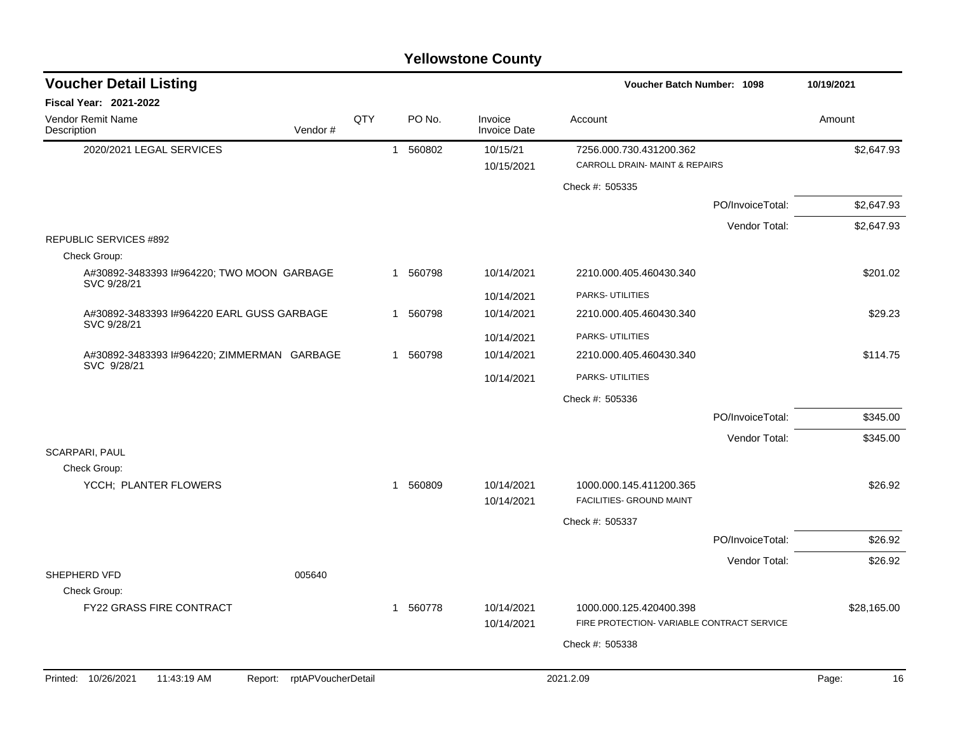| <b>Voucher Detail Listing</b>                             |                    |              |          |                                | <b>Voucher Batch Number: 1098</b>                         |                  | 10/19/2021  |
|-----------------------------------------------------------|--------------------|--------------|----------|--------------------------------|-----------------------------------------------------------|------------------|-------------|
| <b>Fiscal Year: 2021-2022</b>                             |                    |              |          |                                |                                                           |                  |             |
| Vendor Remit Name<br>Description<br>Vendor#               | QTY                |              | PO No.   | Invoice<br><b>Invoice Date</b> | Account                                                   |                  | Amount      |
| 2020/2021 LEGAL SERVICES                                  |                    | $\mathbf{1}$ | 560802   | 10/15/21<br>10/15/2021         | 7256.000.730.431200.362<br>CARROLL DRAIN- MAINT & REPAIRS |                  | \$2,647.93  |
|                                                           |                    |              |          |                                | Check #: 505335                                           |                  |             |
|                                                           |                    |              |          |                                |                                                           | PO/InvoiceTotal: | \$2,647.93  |
|                                                           |                    |              |          |                                |                                                           | Vendor Total:    | \$2,647.93  |
| REPUBLIC SERVICES #892                                    |                    |              |          |                                |                                                           |                  |             |
| Check Group:                                              |                    |              |          |                                |                                                           |                  |             |
| A#30892-3483393 I#964220; TWO MOON GARBAGE<br>SVC 9/28/21 |                    |              | 1 560798 | 10/14/2021                     | 2210.000.405.460430.340                                   |                  | \$201.02    |
|                                                           |                    |              |          | 10/14/2021                     | PARKS- UTILITIES                                          |                  |             |
| A#30892-3483393 I#964220 EARL GUSS GARBAGE                |                    | $\mathbf{1}$ | 560798   | 10/14/2021                     | 2210.000.405.460430.340                                   |                  | \$29.23     |
| SVC 9/28/21                                               |                    |              |          | 10/14/2021                     | PARKS- UTILITIES                                          |                  |             |
| A#30892-3483393 I#964220; ZIMMERMAN GARBAGE               |                    |              | 1 560798 | 10/14/2021                     | 2210.000.405.460430.340                                   |                  | \$114.75    |
| SVC 9/28/21                                               |                    |              |          | 10/14/2021                     | PARKS- UTILITIES                                          |                  |             |
|                                                           |                    |              |          |                                | Check #: 505336                                           |                  |             |
|                                                           |                    |              |          |                                |                                                           | PO/InvoiceTotal: | \$345.00    |
|                                                           |                    |              |          |                                |                                                           | Vendor Total:    | \$345.00    |
| <b>SCARPARI, PAUL</b>                                     |                    |              |          |                                |                                                           |                  |             |
| Check Group:                                              |                    |              |          |                                |                                                           |                  |             |
| YCCH; PLANTER FLOWERS                                     |                    | -1           | 560809   | 10/14/2021<br>10/14/2021       | 1000.000.145.411200.365<br>FACILITIES- GROUND MAINT       |                  | \$26.92     |
|                                                           |                    |              |          |                                | Check #: 505337                                           |                  |             |
|                                                           |                    |              |          |                                |                                                           | PO/InvoiceTotal: | \$26.92     |
|                                                           |                    |              |          |                                |                                                           | Vendor Total:    | \$26.92     |
| SHEPHERD VFD<br>005640                                    |                    |              |          |                                |                                                           |                  |             |
| Check Group:<br><b>FY22 GRASS FIRE CONTRACT</b>           |                    |              | 1 560778 | 10/14/2021                     | 1000.000.125.420400.398                                   |                  | \$28,165.00 |
|                                                           |                    |              |          | 10/14/2021                     | FIRE PROTECTION- VARIABLE CONTRACT SERVICE                |                  |             |
|                                                           |                    |              |          |                                | Check #: 505338                                           |                  |             |
|                                                           |                    |              |          |                                |                                                           |                  |             |
| Printed: 10/26/2021<br>11:43:19 AM<br>Report:             | rptAPVoucherDetail |              |          |                                | 2021.2.09                                                 |                  | Page:<br>16 |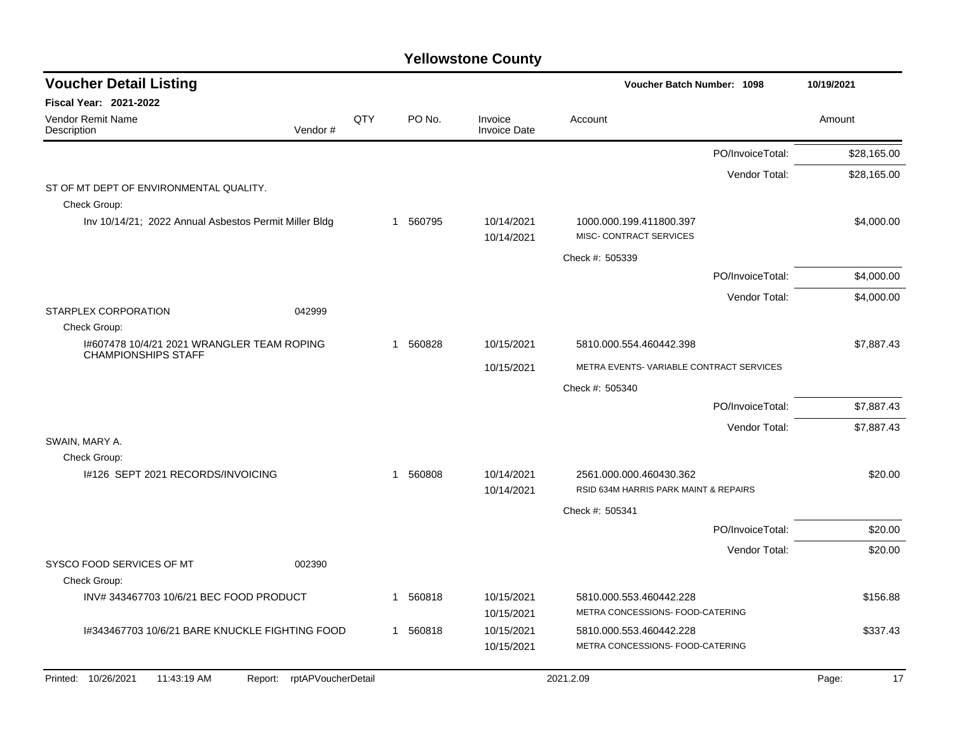| <b>Voucher Detail Listing</b>                                            |     |              |          |                                | <b>Voucher Batch Number: 1098</b>                                |                  | 10/19/2021 |             |
|--------------------------------------------------------------------------|-----|--------------|----------|--------------------------------|------------------------------------------------------------------|------------------|------------|-------------|
| Fiscal Year: 2021-2022                                                   |     |              |          |                                |                                                                  |                  |            |             |
| Vendor Remit Name<br>Vendor#<br>Description                              | QTY |              | PO No.   | Invoice<br><b>Invoice Date</b> | Account                                                          |                  | Amount     |             |
|                                                                          |     |              |          |                                |                                                                  | PO/InvoiceTotal: |            | \$28,165.00 |
|                                                                          |     |              |          |                                |                                                                  | Vendor Total:    |            | \$28,165.00 |
| ST OF MT DEPT OF ENVIRONMENTAL QUALITY.<br>Check Group:                  |     |              |          |                                |                                                                  |                  |            |             |
| Inv 10/14/21; 2022 Annual Asbestos Permit Miller Bldg                    |     |              | 1 560795 | 10/14/2021<br>10/14/2021       | 1000.000.199.411800.397<br>MISC- CONTRACT SERVICES               |                  |            | \$4,000.00  |
|                                                                          |     |              |          |                                | Check #: 505339                                                  |                  |            |             |
|                                                                          |     |              |          |                                |                                                                  | PO/InvoiceTotal: |            | \$4,000.00  |
|                                                                          |     |              |          |                                |                                                                  | Vendor Total:    |            | \$4,000.00  |
| STARPLEX CORPORATION<br>042999                                           |     |              |          |                                |                                                                  |                  |            |             |
| Check Group:                                                             |     |              |          |                                |                                                                  |                  |            |             |
| 1#607478 10/4/21 2021 WRANGLER TEAM ROPING<br><b>CHAMPIONSHIPS STAFF</b> |     | 1            | 560828   | 10/15/2021                     | 5810.000.554.460442.398                                          |                  |            | \$7,887.43  |
|                                                                          |     |              |          | 10/15/2021                     | METRA EVENTS-VARIABLE CONTRACT SERVICES                          |                  |            |             |
|                                                                          |     |              |          |                                | Check #: 505340                                                  |                  |            |             |
|                                                                          |     |              |          |                                |                                                                  | PO/InvoiceTotal: |            | \$7,887.43  |
|                                                                          |     |              |          |                                |                                                                  | Vendor Total:    |            | \$7,887.43  |
| SWAIN, MARY A.                                                           |     |              |          |                                |                                                                  |                  |            |             |
| Check Group:                                                             |     |              |          |                                |                                                                  |                  |            |             |
| 1#126 SEPT 2021 RECORDS/INVOICING                                        |     | $\mathbf{1}$ | 560808   | 10/14/2021<br>10/14/2021       | 2561.000.000.460430.362<br>RSID 634M HARRIS PARK MAINT & REPAIRS |                  |            | \$20.00     |
|                                                                          |     |              |          |                                | Check #: 505341                                                  |                  |            |             |
|                                                                          |     |              |          |                                |                                                                  | PO/InvoiceTotal: |            | \$20.00     |
|                                                                          |     |              |          |                                |                                                                  | Vendor Total:    |            | \$20.00     |
| SYSCO FOOD SERVICES OF MT<br>002390<br>Check Group:                      |     |              |          |                                |                                                                  |                  |            |             |
| INV#343467703 10/6/21 BEC FOOD PRODUCT                                   |     | 1            | 560818   | 10/15/2021                     | 5810.000.553.460442.228                                          |                  |            | \$156.88    |
|                                                                          |     |              |          | 10/15/2021                     | METRA CONCESSIONS- FOOD-CATERING                                 |                  |            |             |
| I#343467703 10/6/21 BARE KNUCKLE FIGHTING FOOD                           |     |              | 1 560818 | 10/15/2021                     | 5810.000.553.460442.228                                          |                  |            | \$337.43    |
|                                                                          |     |              |          | 10/15/2021                     | METRA CONCESSIONS- FOOD-CATERING                                 |                  |            |             |
| Printed: 10/26/2021<br>rptAPVoucherDetail<br>11:43:19 AM<br>Report:      |     |              |          |                                | 2021.2.09                                                        |                  | Page:      | 17          |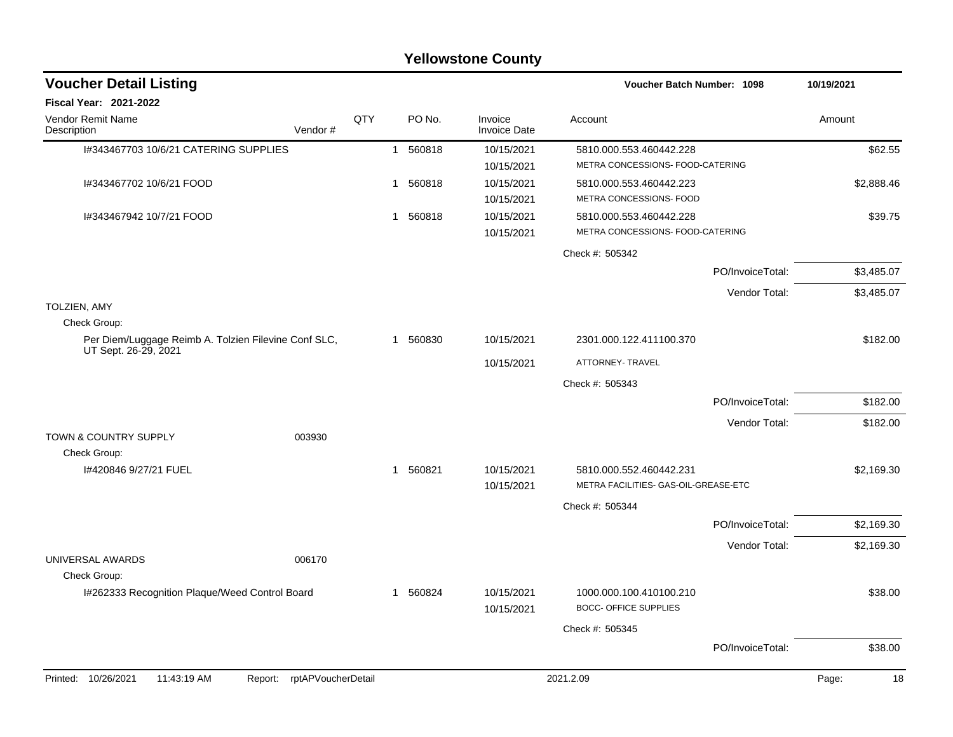| <b>Voucher Detail Listing</b>                                                |                    |              |          |                                | <b>Voucher Batch Number: 1098</b>                               |                  | 10/19/2021  |
|------------------------------------------------------------------------------|--------------------|--------------|----------|--------------------------------|-----------------------------------------------------------------|------------------|-------------|
| Fiscal Year: 2021-2022                                                       |                    |              |          |                                |                                                                 |                  |             |
| Vendor Remit Name<br>Description<br>Vendor#                                  | QTY                |              | PO No.   | Invoice<br><b>Invoice Date</b> | Account                                                         |                  | Amount      |
| I#343467703 10/6/21 CATERING SUPPLIES                                        |                    |              | 1 560818 | 10/15/2021<br>10/15/2021       | 5810.000.553.460442.228<br>METRA CONCESSIONS- FOOD-CATERING     |                  | \$62.55     |
| I#343467702 10/6/21 FOOD                                                     |                    | 1            | 560818   | 10/15/2021<br>10/15/2021       | 5810.000.553.460442.223<br>METRA CONCESSIONS- FOOD              |                  | \$2,888.46  |
| I#343467942 10/7/21 FOOD                                                     |                    | $\mathbf{1}$ | 560818   | 10/15/2021<br>10/15/2021       | 5810.000.553.460442.228<br>METRA CONCESSIONS- FOOD-CATERING     |                  | \$39.75     |
|                                                                              |                    |              |          |                                | Check #: 505342                                                 |                  |             |
|                                                                              |                    |              |          |                                |                                                                 | PO/InvoiceTotal: | \$3,485.07  |
|                                                                              |                    |              |          |                                |                                                                 | Vendor Total:    | \$3,485.07  |
| <b>TOLZIEN, AMY</b><br>Check Group:                                          |                    |              |          |                                |                                                                 |                  |             |
| Per Diem/Luggage Reimb A. Tolzien Filevine Conf SLC,<br>UT Sept. 26-29, 2021 |                    |              | 1 560830 | 10/15/2021                     | 2301.000.122.411100.370                                         |                  | \$182.00    |
|                                                                              |                    |              |          | 10/15/2021                     | ATTORNEY- TRAVEL                                                |                  |             |
|                                                                              |                    |              |          |                                | Check #: 505343                                                 |                  |             |
|                                                                              |                    |              |          |                                |                                                                 | PO/InvoiceTotal: | \$182.00    |
| <b>TOWN &amp; COUNTRY SUPPLY</b><br>003930                                   |                    |              |          |                                |                                                                 | Vendor Total:    | \$182.00    |
| Check Group:                                                                 |                    |              |          |                                |                                                                 |                  |             |
| I#420846 9/27/21 FUEL                                                        |                    |              | 1 560821 | 10/15/2021<br>10/15/2021       | 5810.000.552.460442.231<br>METRA FACILITIES- GAS-OIL-GREASE-ETC |                  | \$2,169.30  |
|                                                                              |                    |              |          |                                | Check #: 505344                                                 |                  |             |
|                                                                              |                    |              |          |                                |                                                                 | PO/InvoiceTotal: | \$2,169.30  |
|                                                                              |                    |              |          |                                |                                                                 | Vendor Total:    | \$2,169.30  |
| UNIVERSAL AWARDS<br>006170<br>Check Group:                                   |                    |              |          |                                |                                                                 |                  |             |
| I#262333 Recognition Plaque/Weed Control Board                               |                    |              | 1 560824 | 10/15/2021<br>10/15/2021       | 1000.000.100.410100.210<br><b>BOCC- OFFICE SUPPLIES</b>         |                  | \$38.00     |
|                                                                              |                    |              |          |                                | Check #: 505345                                                 |                  |             |
|                                                                              |                    |              |          |                                |                                                                 | PO/InvoiceTotal: | \$38.00     |
| Printed: 10/26/2021<br>11:43:19 AM<br>Report:                                | rptAPVoucherDetail |              |          |                                | 2021.2.09                                                       |                  | Page:<br>18 |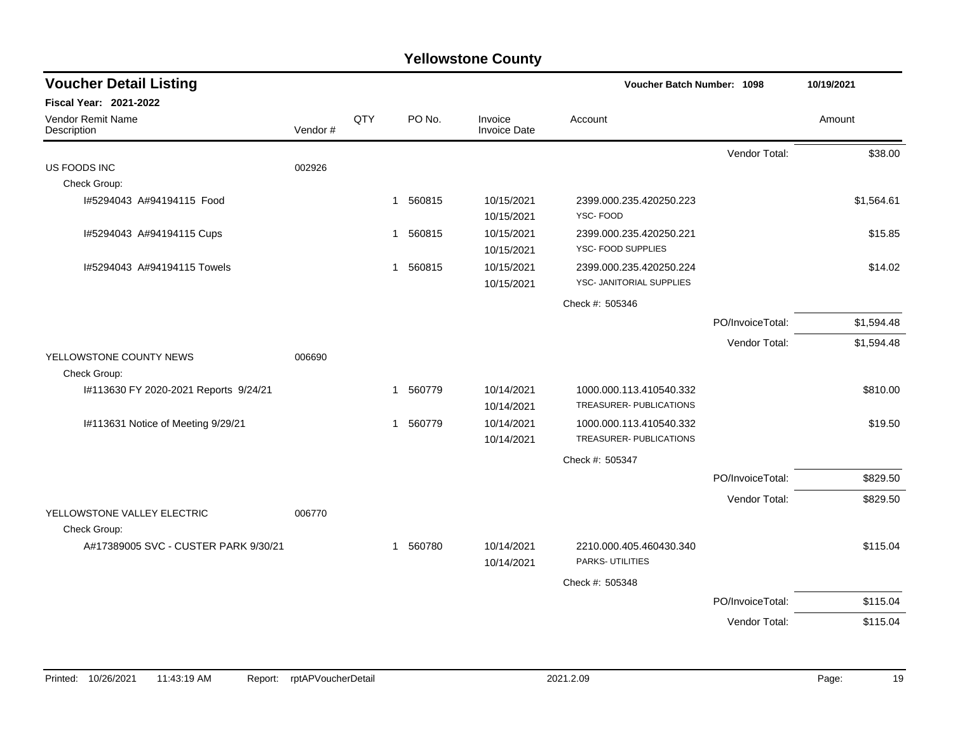| <b>Voucher Detail Listing</b>         | Voucher Batch Number: 1098 | 10/19/2021 |                        |                                |                          |                  |            |
|---------------------------------------|----------------------------|------------|------------------------|--------------------------------|--------------------------|------------------|------------|
| Fiscal Year: 2021-2022                |                            |            |                        |                                |                          |                  |            |
| Vendor Remit Name<br>Description      | Vendor#                    | QTY        | PO No.                 | Invoice<br><b>Invoice Date</b> | Account                  |                  | Amount     |
|                                       |                            |            |                        |                                |                          | Vendor Total:    | \$38.00    |
| US FOODS INC                          | 002926                     |            |                        |                                |                          |                  |            |
| Check Group:                          |                            |            |                        |                                |                          |                  |            |
| I#5294043 A#94194115 Food             |                            |            | 560815<br>$\mathbf{1}$ | 10/15/2021                     | 2399.000.235.420250.223  |                  | \$1,564.61 |
|                                       |                            |            |                        | 10/15/2021                     | YSC-FOOD                 |                  |            |
| I#5294043 A#94194115 Cups             |                            |            | 560815<br>$\mathbf{1}$ | 10/15/2021                     | 2399.000.235.420250.221  |                  | \$15.85    |
|                                       |                            |            |                        | 10/15/2021                     | YSC- FOOD SUPPLIES       |                  |            |
| I#5294043 A#94194115 Towels           |                            |            | 560815<br>$\mathbf{1}$ | 10/15/2021                     | 2399.000.235.420250.224  |                  | \$14.02    |
|                                       |                            |            |                        | 10/15/2021                     | YSC- JANITORIAL SUPPLIES |                  |            |
|                                       |                            |            |                        |                                | Check #: 505346          |                  |            |
|                                       |                            |            |                        |                                |                          | PO/InvoiceTotal: | \$1,594.48 |
|                                       |                            |            |                        |                                |                          | Vendor Total:    | \$1,594.48 |
| YELLOWSTONE COUNTY NEWS               | 006690                     |            |                        |                                |                          |                  |            |
| Check Group:                          |                            |            |                        |                                |                          |                  |            |
| I#113630 FY 2020-2021 Reports 9/24/21 |                            |            | 560779<br>$\mathbf{1}$ | 10/14/2021                     | 1000.000.113.410540.332  |                  | \$810.00   |
|                                       |                            |            |                        | 10/14/2021                     | TREASURER- PUBLICATIONS  |                  |            |
| I#113631 Notice of Meeting 9/29/21    |                            |            | 1 560779               | 10/14/2021                     | 1000.000.113.410540.332  |                  | \$19.50    |
|                                       |                            |            |                        | 10/14/2021                     | TREASURER- PUBLICATIONS  |                  |            |
|                                       |                            |            |                        |                                | Check #: 505347          |                  |            |
|                                       |                            |            |                        |                                |                          | PO/InvoiceTotal: | \$829.50   |
|                                       |                            |            |                        |                                |                          | Vendor Total:    | \$829.50   |
| YELLOWSTONE VALLEY ELECTRIC           | 006770                     |            |                        |                                |                          |                  |            |
| Check Group:                          |                            |            |                        |                                |                          |                  |            |
| A#17389005 SVC - CUSTER PARK 9/30/21  |                            |            | 1 560780               | 10/14/2021                     | 2210.000.405.460430.340  |                  | \$115.04   |
|                                       |                            |            |                        | 10/14/2021                     | PARKS- UTILITIES         |                  |            |
|                                       |                            |            |                        |                                | Check #: 505348          |                  |            |
|                                       |                            |            |                        |                                |                          | PO/InvoiceTotal: | \$115.04   |
|                                       |                            |            |                        |                                |                          | Vendor Total:    | \$115.04   |
|                                       |                            |            |                        |                                |                          |                  |            |